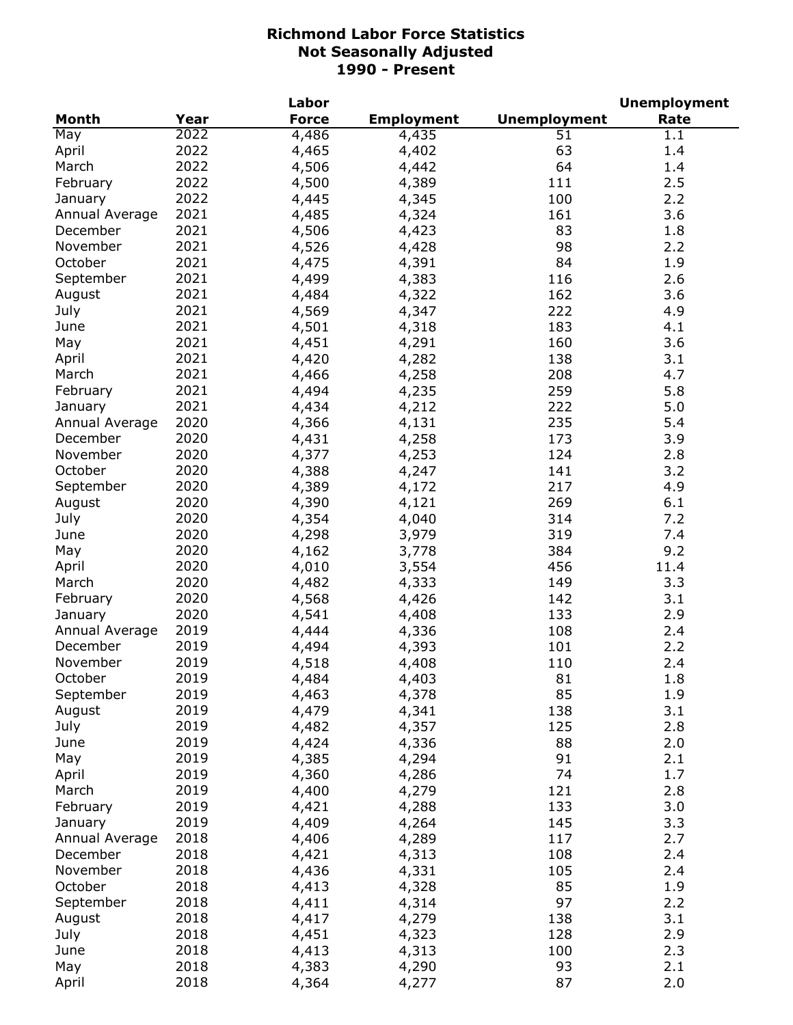|                |      | Labor        |                   |                     | <b>Unemployment</b> |
|----------------|------|--------------|-------------------|---------------------|---------------------|
| <b>Month</b>   | Year | <b>Force</b> | <b>Employment</b> | <b>Unemployment</b> | Rate                |
| May            | 2022 | 4,486        | 4,435             | 51                  | 1.1                 |
| April          | 2022 | 4,465        | 4,402             | 63                  | 1.4                 |
| March          | 2022 | 4,506        | 4,442             | 64                  | 1.4                 |
| February       | 2022 | 4,500        | 4,389             | 111                 | 2.5                 |
| January        | 2022 | 4,445        | 4,345             | 100                 | 2.2                 |
| Annual Average | 2021 | 4,485        | 4,324             | 161                 | 3.6                 |
| December       | 2021 | 4,506        | 4,423             | 83                  | 1.8                 |
| November       | 2021 | 4,526        | 4,428             | 98                  | 2.2                 |
| October        | 2021 | 4,475        | 4,391             | 84                  | 1.9                 |
| September      | 2021 | 4,499        | 4,383             | 116                 | 2.6                 |
| August         | 2021 | 4,484        | 4,322             | 162                 | 3.6                 |
| July           | 2021 | 4,569        | 4,347             | 222                 | 4.9                 |
| June           | 2021 | 4,501        |                   | 183                 | 4.1                 |
|                | 2021 |              | 4,318             | 160                 | 3.6                 |
| May            |      | 4,451        | 4,291             |                     |                     |
| April          | 2021 | 4,420        | 4,282             | 138                 | 3.1                 |
| March          | 2021 | 4,466        | 4,258             | 208                 | 4.7                 |
| February       | 2021 | 4,494        | 4,235             | 259                 | 5.8                 |
| January        | 2021 | 4,434        | 4,212             | 222                 | 5.0                 |
| Annual Average | 2020 | 4,366        | 4,131             | 235                 | 5.4                 |
| December       | 2020 | 4,431        | 4,258             | 173                 | 3.9                 |
| November       | 2020 | 4,377        | 4,253             | 124                 | 2.8                 |
| October        | 2020 | 4,388        | 4,247             | 141                 | 3.2                 |
| September      | 2020 | 4,389        | 4,172             | 217                 | 4.9                 |
| August         | 2020 | 4,390        | 4,121             | 269                 | 6.1                 |
| July           | 2020 | 4,354        | 4,040             | 314                 | 7.2                 |
| June           | 2020 | 4,298        | 3,979             | 319                 | 7.4                 |
| May            | 2020 | 4,162        | 3,778             | 384                 | 9.2                 |
| April          | 2020 | 4,010        | 3,554             | 456                 | 11.4                |
| March          | 2020 | 4,482        | 4,333             | 149                 | 3.3                 |
| February       | 2020 | 4,568        | 4,426             | 142                 | 3.1                 |
| January        | 2020 | 4,541        | 4,408             | 133                 | 2.9                 |
| Annual Average | 2019 | 4,444        | 4,336             | 108                 | 2.4                 |
| December       | 2019 | 4,494        | 4,393             | 101                 | 2.2                 |
| November       | 2019 | 4,518        | 4,408             | 110                 | 2.4                 |
| October        | 2019 | 4,484        | 4,403             | 81                  | 1.8                 |
| September      | 2019 | 4,463        | 4,378             | 85                  | 1.9                 |
| August         | 2019 | 4,479        | 4,341             | 138                 | 3.1                 |
| July           | 2019 | 4,482        | 4,357             | 125                 | 2.8                 |
| June           | 2019 | 4,424        | 4,336             | 88                  | 2.0                 |
| May            | 2019 | 4,385        | 4,294             | 91                  | 2.1                 |
| April          | 2019 | 4,360        | 4,286             | 74                  | 1.7                 |
| March          | 2019 |              |                   |                     | 2.8                 |
|                |      | 4,400        | 4,279             | 121                 |                     |
| February       | 2019 | 4,421        | 4,288             | 133                 | 3.0                 |
| January        | 2019 | 4,409        | 4,264             | 145                 | 3.3                 |
| Annual Average | 2018 | 4,406        | 4,289             | 117                 | 2.7                 |
| December       | 2018 | 4,421        | 4,313             | 108                 | 2.4                 |
| November       | 2018 | 4,436        | 4,331             | 105                 | 2.4                 |
| October        | 2018 | 4,413        | 4,328             | 85                  | 1.9                 |
| September      | 2018 | 4,411        | 4,314             | 97                  | 2.2                 |
| August         | 2018 | 4,417        | 4,279             | 138                 | 3.1                 |
| July           | 2018 | 4,451        | 4,323             | 128                 | 2.9                 |
| June           | 2018 | 4,413        | 4,313             | 100                 | 2.3                 |
| May            | 2018 | 4,383        | 4,290             | 93                  | 2.1                 |
| April          | 2018 | 4,364        | 4,277             | 87                  | 2.0                 |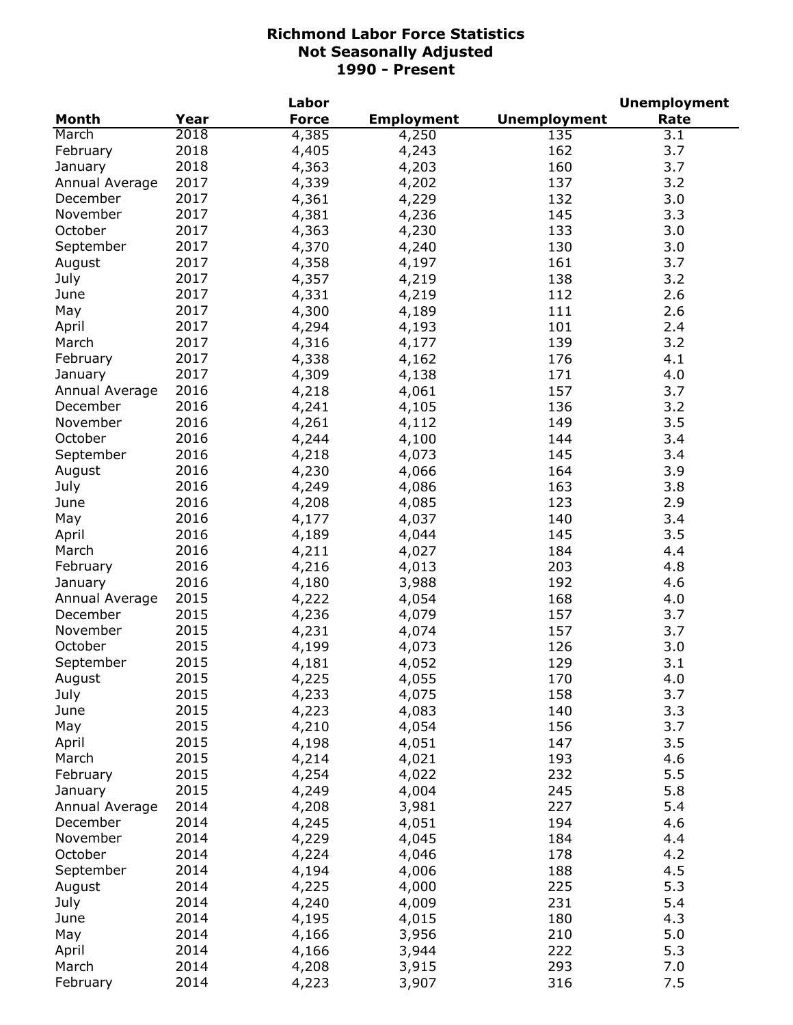| <b>Unemployment</b><br><b>Month</b><br>Year<br><b>Force</b><br><b>Employment</b><br>Rate<br>2018<br>3.1<br>March<br>4,385<br>135<br>4,250<br>2018<br>162<br>February<br>4,405<br>3.7<br>4,243<br>2018<br>160<br>3.7<br>January<br>4,363<br>4,203<br>2017<br>137<br>3.2<br>Annual Average<br>4,339<br>4,202<br>2017<br>3.0<br>132<br>December<br>4,361<br>4,229<br>2017<br>November<br>145<br>3.3<br>4,381<br>4,236<br>2017<br>October<br>4,363<br>133<br>3.0<br>4,230<br>2017<br>4,370<br>130<br>3.0<br>September<br>4,240<br>2017<br>3.7<br>4,358<br>161<br>August<br>4,197<br>2017<br>4,357<br>July<br>4,219<br>138<br>3.2<br>2017<br>4,331<br>4,219<br>112<br>2.6<br>June<br>2017<br>4,300<br>May<br>4,189<br>111<br>2.6<br>2017<br>4,294<br>4,193<br>101<br>April<br>2.4<br>3.2<br>2017<br>4,316<br>139<br>March<br>4,177<br>2017<br>4,338<br>176<br>4.1<br>February<br>4,162<br>2017<br>4,309<br>171<br>4.0<br>4,138<br>January<br>2016<br>4,218<br>157<br>3.7<br>Annual Average<br>4,061<br>2016<br>136<br>3.2<br>December<br>4,241<br>4,105<br>2016<br>149<br>November<br>4,261<br>3.5<br>4,112<br>October<br>2016<br>4,244<br>144<br>3.4<br>4,100<br>2016<br>145<br>September<br>4,218<br>3.4<br>4,073<br>2016<br>4,230<br>164<br>3.9<br>August<br>4,066<br>2016<br>4,249<br>163<br>3.8<br>July<br>4,086<br>2016<br>4,208<br>4,085<br>123<br>2.9<br>June<br>2016<br>4,177<br>4,037<br>140<br>3.4<br>May<br>2016<br>3.5<br>4,189<br>145<br>April<br>4,044<br>2016<br>4,211<br>4,027<br>184<br>4.4<br>March<br>2016<br>4,216<br>4,013<br>203<br>4.8<br>February<br>2016<br>192<br>4,180<br>3,988<br>4.6<br>January<br>2015<br>4,222<br>4,054<br>168<br>Annual Average<br>4.0<br>2015<br>December<br>4,236<br>4,079<br>157<br>3.7<br>2015<br>3.7<br>November<br>4,231<br>4,074<br>157<br>2015<br>October<br>126<br>3.0<br>4,199<br>4,073<br>2015<br>September<br>129<br>3.1<br>4,181<br>4,052<br>2015<br>170<br>4.0<br>4,225<br>4,055<br>August<br>2015<br>3.7<br>July<br>4,233<br>4,075<br>158<br>2015<br>4,223<br>140<br>3.3<br>June<br>4,083<br>2015<br>156<br>3.7<br>May<br>4,210<br>4,054<br>2015<br>147<br>3.5<br>4,198<br>4,051<br>April<br>2015<br>193<br>March<br>4,214<br>4,021<br>4.6<br>2015<br>4,254<br>232<br>5.5<br>February<br>4,022<br>2015<br>4,249<br>245<br>5.8<br>4,004<br>January<br>2014<br>4,208<br>227<br>5.4<br>Annual Average<br>3,981<br>2014<br>4,245<br>194<br>4.6<br>December<br>4,051<br>2014<br>4,229<br>4,045<br>184<br>4.4<br>November<br>October<br>2014<br>4,224<br>178<br>4.2<br>4,046<br>2014<br>4,194<br>188<br>4.5<br>September<br>4,006<br>2014<br>5.3<br>4,225<br>4,000<br>225<br>August<br>2014<br>5.4<br>July<br>4,240<br>231<br>4,009<br>2014<br>180<br>4.3<br>June<br>4,195<br>4,015<br>2014<br>210<br>5.0<br>May<br>4,166<br>3,956<br>2014<br>222<br>5.3<br>April<br>4,166<br>3,944<br>2014<br>293<br>March<br>7.0<br>4,208<br>3,915 |          |      | Labor |       |     | <b>Unemployment</b> |
|-------------------------------------------------------------------------------------------------------------------------------------------------------------------------------------------------------------------------------------------------------------------------------------------------------------------------------------------------------------------------------------------------------------------------------------------------------------------------------------------------------------------------------------------------------------------------------------------------------------------------------------------------------------------------------------------------------------------------------------------------------------------------------------------------------------------------------------------------------------------------------------------------------------------------------------------------------------------------------------------------------------------------------------------------------------------------------------------------------------------------------------------------------------------------------------------------------------------------------------------------------------------------------------------------------------------------------------------------------------------------------------------------------------------------------------------------------------------------------------------------------------------------------------------------------------------------------------------------------------------------------------------------------------------------------------------------------------------------------------------------------------------------------------------------------------------------------------------------------------------------------------------------------------------------------------------------------------------------------------------------------------------------------------------------------------------------------------------------------------------------------------------------------------------------------------------------------------------------------------------------------------------------------------------------------------------------------------------------------------------------------------------------------------------------------------------------------------------------------------------------------------------------------------------------------------------------------------------------------------------------------------------------------------------------------------------------------------------------------------------------------------------------------------------------------------------------------------------------------------------------------------------|----------|------|-------|-------|-----|---------------------|
|                                                                                                                                                                                                                                                                                                                                                                                                                                                                                                                                                                                                                                                                                                                                                                                                                                                                                                                                                                                                                                                                                                                                                                                                                                                                                                                                                                                                                                                                                                                                                                                                                                                                                                                                                                                                                                                                                                                                                                                                                                                                                                                                                                                                                                                                                                                                                                                                                                                                                                                                                                                                                                                                                                                                                                                                                                                                                           |          |      |       |       |     |                     |
|                                                                                                                                                                                                                                                                                                                                                                                                                                                                                                                                                                                                                                                                                                                                                                                                                                                                                                                                                                                                                                                                                                                                                                                                                                                                                                                                                                                                                                                                                                                                                                                                                                                                                                                                                                                                                                                                                                                                                                                                                                                                                                                                                                                                                                                                                                                                                                                                                                                                                                                                                                                                                                                                                                                                                                                                                                                                                           |          |      |       |       |     |                     |
|                                                                                                                                                                                                                                                                                                                                                                                                                                                                                                                                                                                                                                                                                                                                                                                                                                                                                                                                                                                                                                                                                                                                                                                                                                                                                                                                                                                                                                                                                                                                                                                                                                                                                                                                                                                                                                                                                                                                                                                                                                                                                                                                                                                                                                                                                                                                                                                                                                                                                                                                                                                                                                                                                                                                                                                                                                                                                           |          |      |       |       |     |                     |
|                                                                                                                                                                                                                                                                                                                                                                                                                                                                                                                                                                                                                                                                                                                                                                                                                                                                                                                                                                                                                                                                                                                                                                                                                                                                                                                                                                                                                                                                                                                                                                                                                                                                                                                                                                                                                                                                                                                                                                                                                                                                                                                                                                                                                                                                                                                                                                                                                                                                                                                                                                                                                                                                                                                                                                                                                                                                                           |          |      |       |       |     |                     |
|                                                                                                                                                                                                                                                                                                                                                                                                                                                                                                                                                                                                                                                                                                                                                                                                                                                                                                                                                                                                                                                                                                                                                                                                                                                                                                                                                                                                                                                                                                                                                                                                                                                                                                                                                                                                                                                                                                                                                                                                                                                                                                                                                                                                                                                                                                                                                                                                                                                                                                                                                                                                                                                                                                                                                                                                                                                                                           |          |      |       |       |     |                     |
|                                                                                                                                                                                                                                                                                                                                                                                                                                                                                                                                                                                                                                                                                                                                                                                                                                                                                                                                                                                                                                                                                                                                                                                                                                                                                                                                                                                                                                                                                                                                                                                                                                                                                                                                                                                                                                                                                                                                                                                                                                                                                                                                                                                                                                                                                                                                                                                                                                                                                                                                                                                                                                                                                                                                                                                                                                                                                           |          |      |       |       |     |                     |
|                                                                                                                                                                                                                                                                                                                                                                                                                                                                                                                                                                                                                                                                                                                                                                                                                                                                                                                                                                                                                                                                                                                                                                                                                                                                                                                                                                                                                                                                                                                                                                                                                                                                                                                                                                                                                                                                                                                                                                                                                                                                                                                                                                                                                                                                                                                                                                                                                                                                                                                                                                                                                                                                                                                                                                                                                                                                                           |          |      |       |       |     |                     |
|                                                                                                                                                                                                                                                                                                                                                                                                                                                                                                                                                                                                                                                                                                                                                                                                                                                                                                                                                                                                                                                                                                                                                                                                                                                                                                                                                                                                                                                                                                                                                                                                                                                                                                                                                                                                                                                                                                                                                                                                                                                                                                                                                                                                                                                                                                                                                                                                                                                                                                                                                                                                                                                                                                                                                                                                                                                                                           |          |      |       |       |     |                     |
|                                                                                                                                                                                                                                                                                                                                                                                                                                                                                                                                                                                                                                                                                                                                                                                                                                                                                                                                                                                                                                                                                                                                                                                                                                                                                                                                                                                                                                                                                                                                                                                                                                                                                                                                                                                                                                                                                                                                                                                                                                                                                                                                                                                                                                                                                                                                                                                                                                                                                                                                                                                                                                                                                                                                                                                                                                                                                           |          |      |       |       |     |                     |
|                                                                                                                                                                                                                                                                                                                                                                                                                                                                                                                                                                                                                                                                                                                                                                                                                                                                                                                                                                                                                                                                                                                                                                                                                                                                                                                                                                                                                                                                                                                                                                                                                                                                                                                                                                                                                                                                                                                                                                                                                                                                                                                                                                                                                                                                                                                                                                                                                                                                                                                                                                                                                                                                                                                                                                                                                                                                                           |          |      |       |       |     |                     |
|                                                                                                                                                                                                                                                                                                                                                                                                                                                                                                                                                                                                                                                                                                                                                                                                                                                                                                                                                                                                                                                                                                                                                                                                                                                                                                                                                                                                                                                                                                                                                                                                                                                                                                                                                                                                                                                                                                                                                                                                                                                                                                                                                                                                                                                                                                                                                                                                                                                                                                                                                                                                                                                                                                                                                                                                                                                                                           |          |      |       |       |     |                     |
|                                                                                                                                                                                                                                                                                                                                                                                                                                                                                                                                                                                                                                                                                                                                                                                                                                                                                                                                                                                                                                                                                                                                                                                                                                                                                                                                                                                                                                                                                                                                                                                                                                                                                                                                                                                                                                                                                                                                                                                                                                                                                                                                                                                                                                                                                                                                                                                                                                                                                                                                                                                                                                                                                                                                                                                                                                                                                           |          |      |       |       |     |                     |
|                                                                                                                                                                                                                                                                                                                                                                                                                                                                                                                                                                                                                                                                                                                                                                                                                                                                                                                                                                                                                                                                                                                                                                                                                                                                                                                                                                                                                                                                                                                                                                                                                                                                                                                                                                                                                                                                                                                                                                                                                                                                                                                                                                                                                                                                                                                                                                                                                                                                                                                                                                                                                                                                                                                                                                                                                                                                                           |          |      |       |       |     |                     |
|                                                                                                                                                                                                                                                                                                                                                                                                                                                                                                                                                                                                                                                                                                                                                                                                                                                                                                                                                                                                                                                                                                                                                                                                                                                                                                                                                                                                                                                                                                                                                                                                                                                                                                                                                                                                                                                                                                                                                                                                                                                                                                                                                                                                                                                                                                                                                                                                                                                                                                                                                                                                                                                                                                                                                                                                                                                                                           |          |      |       |       |     |                     |
|                                                                                                                                                                                                                                                                                                                                                                                                                                                                                                                                                                                                                                                                                                                                                                                                                                                                                                                                                                                                                                                                                                                                                                                                                                                                                                                                                                                                                                                                                                                                                                                                                                                                                                                                                                                                                                                                                                                                                                                                                                                                                                                                                                                                                                                                                                                                                                                                                                                                                                                                                                                                                                                                                                                                                                                                                                                                                           |          |      |       |       |     |                     |
|                                                                                                                                                                                                                                                                                                                                                                                                                                                                                                                                                                                                                                                                                                                                                                                                                                                                                                                                                                                                                                                                                                                                                                                                                                                                                                                                                                                                                                                                                                                                                                                                                                                                                                                                                                                                                                                                                                                                                                                                                                                                                                                                                                                                                                                                                                                                                                                                                                                                                                                                                                                                                                                                                                                                                                                                                                                                                           |          |      |       |       |     |                     |
|                                                                                                                                                                                                                                                                                                                                                                                                                                                                                                                                                                                                                                                                                                                                                                                                                                                                                                                                                                                                                                                                                                                                                                                                                                                                                                                                                                                                                                                                                                                                                                                                                                                                                                                                                                                                                                                                                                                                                                                                                                                                                                                                                                                                                                                                                                                                                                                                                                                                                                                                                                                                                                                                                                                                                                                                                                                                                           |          |      |       |       |     |                     |
|                                                                                                                                                                                                                                                                                                                                                                                                                                                                                                                                                                                                                                                                                                                                                                                                                                                                                                                                                                                                                                                                                                                                                                                                                                                                                                                                                                                                                                                                                                                                                                                                                                                                                                                                                                                                                                                                                                                                                                                                                                                                                                                                                                                                                                                                                                                                                                                                                                                                                                                                                                                                                                                                                                                                                                                                                                                                                           |          |      |       |       |     |                     |
|                                                                                                                                                                                                                                                                                                                                                                                                                                                                                                                                                                                                                                                                                                                                                                                                                                                                                                                                                                                                                                                                                                                                                                                                                                                                                                                                                                                                                                                                                                                                                                                                                                                                                                                                                                                                                                                                                                                                                                                                                                                                                                                                                                                                                                                                                                                                                                                                                                                                                                                                                                                                                                                                                                                                                                                                                                                                                           |          |      |       |       |     |                     |
|                                                                                                                                                                                                                                                                                                                                                                                                                                                                                                                                                                                                                                                                                                                                                                                                                                                                                                                                                                                                                                                                                                                                                                                                                                                                                                                                                                                                                                                                                                                                                                                                                                                                                                                                                                                                                                                                                                                                                                                                                                                                                                                                                                                                                                                                                                                                                                                                                                                                                                                                                                                                                                                                                                                                                                                                                                                                                           |          |      |       |       |     |                     |
|                                                                                                                                                                                                                                                                                                                                                                                                                                                                                                                                                                                                                                                                                                                                                                                                                                                                                                                                                                                                                                                                                                                                                                                                                                                                                                                                                                                                                                                                                                                                                                                                                                                                                                                                                                                                                                                                                                                                                                                                                                                                                                                                                                                                                                                                                                                                                                                                                                                                                                                                                                                                                                                                                                                                                                                                                                                                                           |          |      |       |       |     |                     |
|                                                                                                                                                                                                                                                                                                                                                                                                                                                                                                                                                                                                                                                                                                                                                                                                                                                                                                                                                                                                                                                                                                                                                                                                                                                                                                                                                                                                                                                                                                                                                                                                                                                                                                                                                                                                                                                                                                                                                                                                                                                                                                                                                                                                                                                                                                                                                                                                                                                                                                                                                                                                                                                                                                                                                                                                                                                                                           |          |      |       |       |     |                     |
|                                                                                                                                                                                                                                                                                                                                                                                                                                                                                                                                                                                                                                                                                                                                                                                                                                                                                                                                                                                                                                                                                                                                                                                                                                                                                                                                                                                                                                                                                                                                                                                                                                                                                                                                                                                                                                                                                                                                                                                                                                                                                                                                                                                                                                                                                                                                                                                                                                                                                                                                                                                                                                                                                                                                                                                                                                                                                           |          |      |       |       |     |                     |
|                                                                                                                                                                                                                                                                                                                                                                                                                                                                                                                                                                                                                                                                                                                                                                                                                                                                                                                                                                                                                                                                                                                                                                                                                                                                                                                                                                                                                                                                                                                                                                                                                                                                                                                                                                                                                                                                                                                                                                                                                                                                                                                                                                                                                                                                                                                                                                                                                                                                                                                                                                                                                                                                                                                                                                                                                                                                                           |          |      |       |       |     |                     |
|                                                                                                                                                                                                                                                                                                                                                                                                                                                                                                                                                                                                                                                                                                                                                                                                                                                                                                                                                                                                                                                                                                                                                                                                                                                                                                                                                                                                                                                                                                                                                                                                                                                                                                                                                                                                                                                                                                                                                                                                                                                                                                                                                                                                                                                                                                                                                                                                                                                                                                                                                                                                                                                                                                                                                                                                                                                                                           |          |      |       |       |     |                     |
|                                                                                                                                                                                                                                                                                                                                                                                                                                                                                                                                                                                                                                                                                                                                                                                                                                                                                                                                                                                                                                                                                                                                                                                                                                                                                                                                                                                                                                                                                                                                                                                                                                                                                                                                                                                                                                                                                                                                                                                                                                                                                                                                                                                                                                                                                                                                                                                                                                                                                                                                                                                                                                                                                                                                                                                                                                                                                           |          |      |       |       |     |                     |
|                                                                                                                                                                                                                                                                                                                                                                                                                                                                                                                                                                                                                                                                                                                                                                                                                                                                                                                                                                                                                                                                                                                                                                                                                                                                                                                                                                                                                                                                                                                                                                                                                                                                                                                                                                                                                                                                                                                                                                                                                                                                                                                                                                                                                                                                                                                                                                                                                                                                                                                                                                                                                                                                                                                                                                                                                                                                                           |          |      |       |       |     |                     |
|                                                                                                                                                                                                                                                                                                                                                                                                                                                                                                                                                                                                                                                                                                                                                                                                                                                                                                                                                                                                                                                                                                                                                                                                                                                                                                                                                                                                                                                                                                                                                                                                                                                                                                                                                                                                                                                                                                                                                                                                                                                                                                                                                                                                                                                                                                                                                                                                                                                                                                                                                                                                                                                                                                                                                                                                                                                                                           |          |      |       |       |     |                     |
|                                                                                                                                                                                                                                                                                                                                                                                                                                                                                                                                                                                                                                                                                                                                                                                                                                                                                                                                                                                                                                                                                                                                                                                                                                                                                                                                                                                                                                                                                                                                                                                                                                                                                                                                                                                                                                                                                                                                                                                                                                                                                                                                                                                                                                                                                                                                                                                                                                                                                                                                                                                                                                                                                                                                                                                                                                                                                           |          |      |       |       |     |                     |
|                                                                                                                                                                                                                                                                                                                                                                                                                                                                                                                                                                                                                                                                                                                                                                                                                                                                                                                                                                                                                                                                                                                                                                                                                                                                                                                                                                                                                                                                                                                                                                                                                                                                                                                                                                                                                                                                                                                                                                                                                                                                                                                                                                                                                                                                                                                                                                                                                                                                                                                                                                                                                                                                                                                                                                                                                                                                                           |          |      |       |       |     |                     |
|                                                                                                                                                                                                                                                                                                                                                                                                                                                                                                                                                                                                                                                                                                                                                                                                                                                                                                                                                                                                                                                                                                                                                                                                                                                                                                                                                                                                                                                                                                                                                                                                                                                                                                                                                                                                                                                                                                                                                                                                                                                                                                                                                                                                                                                                                                                                                                                                                                                                                                                                                                                                                                                                                                                                                                                                                                                                                           |          |      |       |       |     |                     |
|                                                                                                                                                                                                                                                                                                                                                                                                                                                                                                                                                                                                                                                                                                                                                                                                                                                                                                                                                                                                                                                                                                                                                                                                                                                                                                                                                                                                                                                                                                                                                                                                                                                                                                                                                                                                                                                                                                                                                                                                                                                                                                                                                                                                                                                                                                                                                                                                                                                                                                                                                                                                                                                                                                                                                                                                                                                                                           |          |      |       |       |     |                     |
|                                                                                                                                                                                                                                                                                                                                                                                                                                                                                                                                                                                                                                                                                                                                                                                                                                                                                                                                                                                                                                                                                                                                                                                                                                                                                                                                                                                                                                                                                                                                                                                                                                                                                                                                                                                                                                                                                                                                                                                                                                                                                                                                                                                                                                                                                                                                                                                                                                                                                                                                                                                                                                                                                                                                                                                                                                                                                           |          |      |       |       |     |                     |
|                                                                                                                                                                                                                                                                                                                                                                                                                                                                                                                                                                                                                                                                                                                                                                                                                                                                                                                                                                                                                                                                                                                                                                                                                                                                                                                                                                                                                                                                                                                                                                                                                                                                                                                                                                                                                                                                                                                                                                                                                                                                                                                                                                                                                                                                                                                                                                                                                                                                                                                                                                                                                                                                                                                                                                                                                                                                                           |          |      |       |       |     |                     |
|                                                                                                                                                                                                                                                                                                                                                                                                                                                                                                                                                                                                                                                                                                                                                                                                                                                                                                                                                                                                                                                                                                                                                                                                                                                                                                                                                                                                                                                                                                                                                                                                                                                                                                                                                                                                                                                                                                                                                                                                                                                                                                                                                                                                                                                                                                                                                                                                                                                                                                                                                                                                                                                                                                                                                                                                                                                                                           |          |      |       |       |     |                     |
|                                                                                                                                                                                                                                                                                                                                                                                                                                                                                                                                                                                                                                                                                                                                                                                                                                                                                                                                                                                                                                                                                                                                                                                                                                                                                                                                                                                                                                                                                                                                                                                                                                                                                                                                                                                                                                                                                                                                                                                                                                                                                                                                                                                                                                                                                                                                                                                                                                                                                                                                                                                                                                                                                                                                                                                                                                                                                           |          |      |       |       |     |                     |
|                                                                                                                                                                                                                                                                                                                                                                                                                                                                                                                                                                                                                                                                                                                                                                                                                                                                                                                                                                                                                                                                                                                                                                                                                                                                                                                                                                                                                                                                                                                                                                                                                                                                                                                                                                                                                                                                                                                                                                                                                                                                                                                                                                                                                                                                                                                                                                                                                                                                                                                                                                                                                                                                                                                                                                                                                                                                                           |          |      |       |       |     |                     |
|                                                                                                                                                                                                                                                                                                                                                                                                                                                                                                                                                                                                                                                                                                                                                                                                                                                                                                                                                                                                                                                                                                                                                                                                                                                                                                                                                                                                                                                                                                                                                                                                                                                                                                                                                                                                                                                                                                                                                                                                                                                                                                                                                                                                                                                                                                                                                                                                                                                                                                                                                                                                                                                                                                                                                                                                                                                                                           |          |      |       |       |     |                     |
|                                                                                                                                                                                                                                                                                                                                                                                                                                                                                                                                                                                                                                                                                                                                                                                                                                                                                                                                                                                                                                                                                                                                                                                                                                                                                                                                                                                                                                                                                                                                                                                                                                                                                                                                                                                                                                                                                                                                                                                                                                                                                                                                                                                                                                                                                                                                                                                                                                                                                                                                                                                                                                                                                                                                                                                                                                                                                           |          |      |       |       |     |                     |
|                                                                                                                                                                                                                                                                                                                                                                                                                                                                                                                                                                                                                                                                                                                                                                                                                                                                                                                                                                                                                                                                                                                                                                                                                                                                                                                                                                                                                                                                                                                                                                                                                                                                                                                                                                                                                                                                                                                                                                                                                                                                                                                                                                                                                                                                                                                                                                                                                                                                                                                                                                                                                                                                                                                                                                                                                                                                                           |          |      |       |       |     |                     |
|                                                                                                                                                                                                                                                                                                                                                                                                                                                                                                                                                                                                                                                                                                                                                                                                                                                                                                                                                                                                                                                                                                                                                                                                                                                                                                                                                                                                                                                                                                                                                                                                                                                                                                                                                                                                                                                                                                                                                                                                                                                                                                                                                                                                                                                                                                                                                                                                                                                                                                                                                                                                                                                                                                                                                                                                                                                                                           |          |      |       |       |     |                     |
|                                                                                                                                                                                                                                                                                                                                                                                                                                                                                                                                                                                                                                                                                                                                                                                                                                                                                                                                                                                                                                                                                                                                                                                                                                                                                                                                                                                                                                                                                                                                                                                                                                                                                                                                                                                                                                                                                                                                                                                                                                                                                                                                                                                                                                                                                                                                                                                                                                                                                                                                                                                                                                                                                                                                                                                                                                                                                           |          |      |       |       |     |                     |
|                                                                                                                                                                                                                                                                                                                                                                                                                                                                                                                                                                                                                                                                                                                                                                                                                                                                                                                                                                                                                                                                                                                                                                                                                                                                                                                                                                                                                                                                                                                                                                                                                                                                                                                                                                                                                                                                                                                                                                                                                                                                                                                                                                                                                                                                                                                                                                                                                                                                                                                                                                                                                                                                                                                                                                                                                                                                                           |          |      |       |       |     |                     |
|                                                                                                                                                                                                                                                                                                                                                                                                                                                                                                                                                                                                                                                                                                                                                                                                                                                                                                                                                                                                                                                                                                                                                                                                                                                                                                                                                                                                                                                                                                                                                                                                                                                                                                                                                                                                                                                                                                                                                                                                                                                                                                                                                                                                                                                                                                                                                                                                                                                                                                                                                                                                                                                                                                                                                                                                                                                                                           |          |      |       |       |     |                     |
|                                                                                                                                                                                                                                                                                                                                                                                                                                                                                                                                                                                                                                                                                                                                                                                                                                                                                                                                                                                                                                                                                                                                                                                                                                                                                                                                                                                                                                                                                                                                                                                                                                                                                                                                                                                                                                                                                                                                                                                                                                                                                                                                                                                                                                                                                                                                                                                                                                                                                                                                                                                                                                                                                                                                                                                                                                                                                           |          |      |       |       |     |                     |
|                                                                                                                                                                                                                                                                                                                                                                                                                                                                                                                                                                                                                                                                                                                                                                                                                                                                                                                                                                                                                                                                                                                                                                                                                                                                                                                                                                                                                                                                                                                                                                                                                                                                                                                                                                                                                                                                                                                                                                                                                                                                                                                                                                                                                                                                                                                                                                                                                                                                                                                                                                                                                                                                                                                                                                                                                                                                                           |          |      |       |       |     |                     |
|                                                                                                                                                                                                                                                                                                                                                                                                                                                                                                                                                                                                                                                                                                                                                                                                                                                                                                                                                                                                                                                                                                                                                                                                                                                                                                                                                                                                                                                                                                                                                                                                                                                                                                                                                                                                                                                                                                                                                                                                                                                                                                                                                                                                                                                                                                                                                                                                                                                                                                                                                                                                                                                                                                                                                                                                                                                                                           |          |      |       |       |     |                     |
|                                                                                                                                                                                                                                                                                                                                                                                                                                                                                                                                                                                                                                                                                                                                                                                                                                                                                                                                                                                                                                                                                                                                                                                                                                                                                                                                                                                                                                                                                                                                                                                                                                                                                                                                                                                                                                                                                                                                                                                                                                                                                                                                                                                                                                                                                                                                                                                                                                                                                                                                                                                                                                                                                                                                                                                                                                                                                           |          |      |       |       |     |                     |
|                                                                                                                                                                                                                                                                                                                                                                                                                                                                                                                                                                                                                                                                                                                                                                                                                                                                                                                                                                                                                                                                                                                                                                                                                                                                                                                                                                                                                                                                                                                                                                                                                                                                                                                                                                                                                                                                                                                                                                                                                                                                                                                                                                                                                                                                                                                                                                                                                                                                                                                                                                                                                                                                                                                                                                                                                                                                                           |          |      |       |       |     |                     |
|                                                                                                                                                                                                                                                                                                                                                                                                                                                                                                                                                                                                                                                                                                                                                                                                                                                                                                                                                                                                                                                                                                                                                                                                                                                                                                                                                                                                                                                                                                                                                                                                                                                                                                                                                                                                                                                                                                                                                                                                                                                                                                                                                                                                                                                                                                                                                                                                                                                                                                                                                                                                                                                                                                                                                                                                                                                                                           |          |      |       |       |     |                     |
|                                                                                                                                                                                                                                                                                                                                                                                                                                                                                                                                                                                                                                                                                                                                                                                                                                                                                                                                                                                                                                                                                                                                                                                                                                                                                                                                                                                                                                                                                                                                                                                                                                                                                                                                                                                                                                                                                                                                                                                                                                                                                                                                                                                                                                                                                                                                                                                                                                                                                                                                                                                                                                                                                                                                                                                                                                                                                           |          |      |       |       |     |                     |
|                                                                                                                                                                                                                                                                                                                                                                                                                                                                                                                                                                                                                                                                                                                                                                                                                                                                                                                                                                                                                                                                                                                                                                                                                                                                                                                                                                                                                                                                                                                                                                                                                                                                                                                                                                                                                                                                                                                                                                                                                                                                                                                                                                                                                                                                                                                                                                                                                                                                                                                                                                                                                                                                                                                                                                                                                                                                                           |          |      |       |       |     |                     |
|                                                                                                                                                                                                                                                                                                                                                                                                                                                                                                                                                                                                                                                                                                                                                                                                                                                                                                                                                                                                                                                                                                                                                                                                                                                                                                                                                                                                                                                                                                                                                                                                                                                                                                                                                                                                                                                                                                                                                                                                                                                                                                                                                                                                                                                                                                                                                                                                                                                                                                                                                                                                                                                                                                                                                                                                                                                                                           |          |      |       |       |     |                     |
|                                                                                                                                                                                                                                                                                                                                                                                                                                                                                                                                                                                                                                                                                                                                                                                                                                                                                                                                                                                                                                                                                                                                                                                                                                                                                                                                                                                                                                                                                                                                                                                                                                                                                                                                                                                                                                                                                                                                                                                                                                                                                                                                                                                                                                                                                                                                                                                                                                                                                                                                                                                                                                                                                                                                                                                                                                                                                           |          |      |       |       |     |                     |
|                                                                                                                                                                                                                                                                                                                                                                                                                                                                                                                                                                                                                                                                                                                                                                                                                                                                                                                                                                                                                                                                                                                                                                                                                                                                                                                                                                                                                                                                                                                                                                                                                                                                                                                                                                                                                                                                                                                                                                                                                                                                                                                                                                                                                                                                                                                                                                                                                                                                                                                                                                                                                                                                                                                                                                                                                                                                                           |          |      |       |       |     |                     |
|                                                                                                                                                                                                                                                                                                                                                                                                                                                                                                                                                                                                                                                                                                                                                                                                                                                                                                                                                                                                                                                                                                                                                                                                                                                                                                                                                                                                                                                                                                                                                                                                                                                                                                                                                                                                                                                                                                                                                                                                                                                                                                                                                                                                                                                                                                                                                                                                                                                                                                                                                                                                                                                                                                                                                                                                                                                                                           | February | 2014 | 4,223 | 3,907 | 316 | 7.5                 |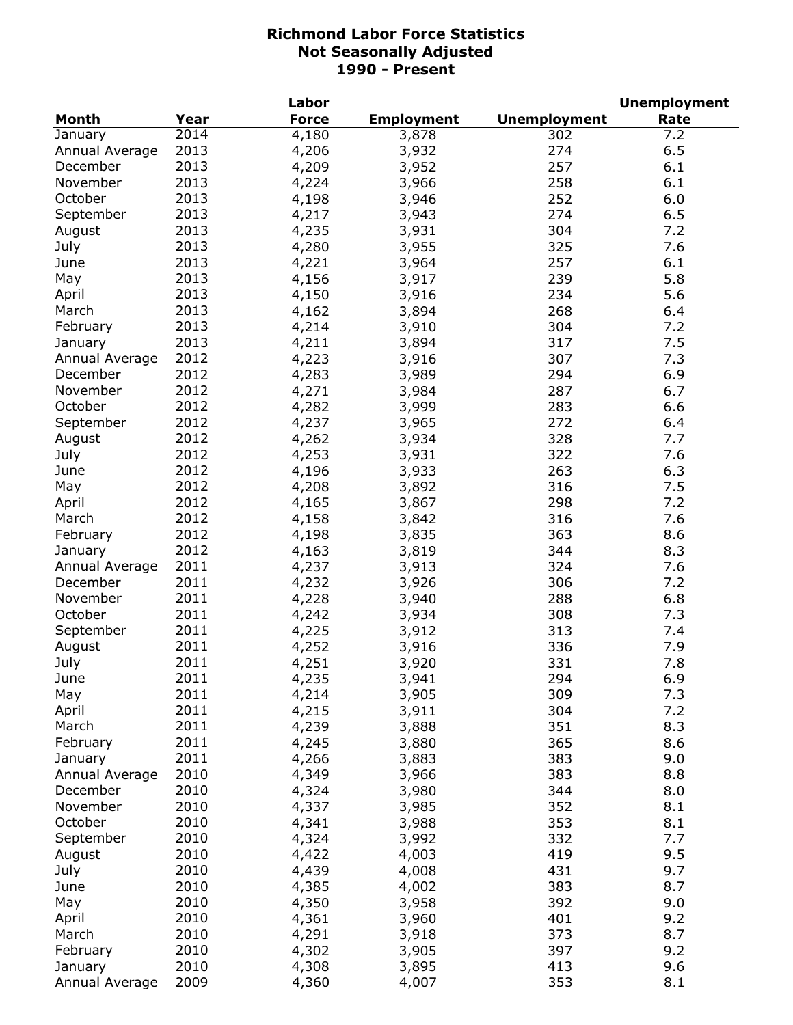| <b>Month</b><br>Year<br><b>Force</b><br><b>Unemployment</b><br><b>Employment</b><br>Rate<br>2014<br>4,180<br>302<br>January<br>3,878<br>7.2<br>2013<br>6.5<br>4,206<br>274<br>Annual Average<br>3,932<br>2013<br>257<br>December<br>4,209<br>6.1<br>3,952<br>2013<br>November<br>258<br>6.1<br>4,224<br>3,966<br>2013<br>October<br>252<br>6.0<br>4,198<br>3,946<br>2013<br>4,217<br>274<br>6.5<br>September<br>3,943<br>2013<br>304<br>August<br>4,235<br>3,931<br>7.2<br>2013<br>4,280<br>325<br>7.6<br>July<br>3,955<br>2013<br>257<br>6.1<br>June<br>4,221<br>3,964<br>2013<br>239<br>5.8<br>May<br>4,156<br>3,917<br>2013<br>4,150<br>3,916<br>234<br>5.6<br>April<br>2013<br>4,162<br>3,894<br>268<br>March<br>6.4<br>2013<br>4,214<br>3,910<br>304<br>7.2<br>February<br>2013<br>4,211<br>317<br>7.5<br>3,894<br>January<br>2012<br>4,223<br>3,916<br>307<br>7.3<br>Annual Average<br>2012<br>4,283<br>3,989<br>294<br>6.9<br>December<br>2012<br>4,271<br>287<br>6.7<br>November<br>3,984<br>2012<br>6.6<br>October<br>283<br>4,282<br>3,999<br>2012<br>September<br>4,237<br>3,965<br>272<br>6.4<br>2012<br>328<br>August<br>4,262<br>3,934<br>7.7<br>2012<br>4,253<br>322<br>7.6<br>July<br>3,931<br>2012<br>263<br>6.3<br>June<br>4,196<br>3,933<br>2012<br>4,208<br>316<br>7.5<br>May<br>3,892<br>2012<br>298<br>7.2<br>April<br>4,165<br>3,867<br>2012<br>316<br>7.6<br>March<br>4,158<br>3,842<br>2012<br>4,198<br>363<br>8.6<br>February<br>3,835<br>2012<br>4,163<br>344<br>8.3<br>January<br>3,819<br>2011<br>4,237<br>3,913<br>7.6<br>324<br>Annual Average<br>2011<br>December<br>4,232<br>3,926<br>306<br>7.2<br>2011<br>4,228<br>3,940<br>288<br>6.8<br>November<br>2011<br>October<br>4,242<br>3,934<br>308<br>7.3<br>2011<br>4,225<br>3,912<br>313<br>7.4<br>September<br>2011<br>336<br>7.9<br>August<br>4,252<br>3,916<br>2011<br>7.8<br>331<br>July<br>4,251<br>3,920<br>2011<br>294<br>6.9<br>June<br>4,235<br>3,941<br>2011<br>309<br>May<br>4,214<br>7.3<br>3,905<br>2011<br>4,215<br>304<br>7.2<br>April<br>3,911<br>2011<br>4,239<br>351<br>8.3<br>March<br>3,888<br>365<br>8.6<br>2011<br>4,245<br>February<br>3,880<br>2011<br>9.0<br>4,266<br>3,883<br>383<br>January<br>2010<br>383<br>8.8<br>Annual Average<br>4,349<br>3,966<br>2010<br>4,324<br>8.0<br>December<br>3,980<br>344<br>2010<br>4,337<br>352<br>8.1<br>November<br>3,985<br>2010<br>4,341<br>353<br>8.1<br>3,988<br>2010<br>4,324<br>7.7<br>September<br>3,992<br>332<br>2010<br>4,422<br>419<br>9.5<br>August<br>4,003<br>2010<br>4,439<br>431<br>9.7<br>July<br>4,008<br>2010<br>4,385<br>383<br>8.7<br>June<br>4,002<br>2010<br>4,350<br>392<br>9.0<br>May<br>3,958<br>2010<br>401<br>9.2<br>April<br>4,361<br>3,960<br>2010<br>373<br>8.7<br>March<br>4,291<br>3,918<br>2010<br>397<br>9.2<br>February<br>4,302<br>3,905<br>2010<br>413<br>9.6<br>4,308<br>January<br>3,895 |                |      | Labor |       |     | <b>Unemployment</b> |
|----------------------------------------------------------------------------------------------------------------------------------------------------------------------------------------------------------------------------------------------------------------------------------------------------------------------------------------------------------------------------------------------------------------------------------------------------------------------------------------------------------------------------------------------------------------------------------------------------------------------------------------------------------------------------------------------------------------------------------------------------------------------------------------------------------------------------------------------------------------------------------------------------------------------------------------------------------------------------------------------------------------------------------------------------------------------------------------------------------------------------------------------------------------------------------------------------------------------------------------------------------------------------------------------------------------------------------------------------------------------------------------------------------------------------------------------------------------------------------------------------------------------------------------------------------------------------------------------------------------------------------------------------------------------------------------------------------------------------------------------------------------------------------------------------------------------------------------------------------------------------------------------------------------------------------------------------------------------------------------------------------------------------------------------------------------------------------------------------------------------------------------------------------------------------------------------------------------------------------------------------------------------------------------------------------------------------------------------------------------------------------------------------------------------------------------------------------------------------------------------------------------------------------------------------------------------------------------------------------------------------------------------------------------------------------------------------------------------------------------------------------------------------------------------------------------------------------------------------------------------------------|----------------|------|-------|-------|-----|---------------------|
|                                                                                                                                                                                                                                                                                                                                                                                                                                                                                                                                                                                                                                                                                                                                                                                                                                                                                                                                                                                                                                                                                                                                                                                                                                                                                                                                                                                                                                                                                                                                                                                                                                                                                                                                                                                                                                                                                                                                                                                                                                                                                                                                                                                                                                                                                                                                                                                                                                                                                                                                                                                                                                                                                                                                                                                                                                                                                  |                |      |       |       |     |                     |
|                                                                                                                                                                                                                                                                                                                                                                                                                                                                                                                                                                                                                                                                                                                                                                                                                                                                                                                                                                                                                                                                                                                                                                                                                                                                                                                                                                                                                                                                                                                                                                                                                                                                                                                                                                                                                                                                                                                                                                                                                                                                                                                                                                                                                                                                                                                                                                                                                                                                                                                                                                                                                                                                                                                                                                                                                                                                                  |                |      |       |       |     |                     |
|                                                                                                                                                                                                                                                                                                                                                                                                                                                                                                                                                                                                                                                                                                                                                                                                                                                                                                                                                                                                                                                                                                                                                                                                                                                                                                                                                                                                                                                                                                                                                                                                                                                                                                                                                                                                                                                                                                                                                                                                                                                                                                                                                                                                                                                                                                                                                                                                                                                                                                                                                                                                                                                                                                                                                                                                                                                                                  |                |      |       |       |     |                     |
|                                                                                                                                                                                                                                                                                                                                                                                                                                                                                                                                                                                                                                                                                                                                                                                                                                                                                                                                                                                                                                                                                                                                                                                                                                                                                                                                                                                                                                                                                                                                                                                                                                                                                                                                                                                                                                                                                                                                                                                                                                                                                                                                                                                                                                                                                                                                                                                                                                                                                                                                                                                                                                                                                                                                                                                                                                                                                  |                |      |       |       |     |                     |
|                                                                                                                                                                                                                                                                                                                                                                                                                                                                                                                                                                                                                                                                                                                                                                                                                                                                                                                                                                                                                                                                                                                                                                                                                                                                                                                                                                                                                                                                                                                                                                                                                                                                                                                                                                                                                                                                                                                                                                                                                                                                                                                                                                                                                                                                                                                                                                                                                                                                                                                                                                                                                                                                                                                                                                                                                                                                                  |                |      |       |       |     |                     |
|                                                                                                                                                                                                                                                                                                                                                                                                                                                                                                                                                                                                                                                                                                                                                                                                                                                                                                                                                                                                                                                                                                                                                                                                                                                                                                                                                                                                                                                                                                                                                                                                                                                                                                                                                                                                                                                                                                                                                                                                                                                                                                                                                                                                                                                                                                                                                                                                                                                                                                                                                                                                                                                                                                                                                                                                                                                                                  |                |      |       |       |     |                     |
|                                                                                                                                                                                                                                                                                                                                                                                                                                                                                                                                                                                                                                                                                                                                                                                                                                                                                                                                                                                                                                                                                                                                                                                                                                                                                                                                                                                                                                                                                                                                                                                                                                                                                                                                                                                                                                                                                                                                                                                                                                                                                                                                                                                                                                                                                                                                                                                                                                                                                                                                                                                                                                                                                                                                                                                                                                                                                  |                |      |       |       |     |                     |
|                                                                                                                                                                                                                                                                                                                                                                                                                                                                                                                                                                                                                                                                                                                                                                                                                                                                                                                                                                                                                                                                                                                                                                                                                                                                                                                                                                                                                                                                                                                                                                                                                                                                                                                                                                                                                                                                                                                                                                                                                                                                                                                                                                                                                                                                                                                                                                                                                                                                                                                                                                                                                                                                                                                                                                                                                                                                                  |                |      |       |       |     |                     |
|                                                                                                                                                                                                                                                                                                                                                                                                                                                                                                                                                                                                                                                                                                                                                                                                                                                                                                                                                                                                                                                                                                                                                                                                                                                                                                                                                                                                                                                                                                                                                                                                                                                                                                                                                                                                                                                                                                                                                                                                                                                                                                                                                                                                                                                                                                                                                                                                                                                                                                                                                                                                                                                                                                                                                                                                                                                                                  |                |      |       |       |     |                     |
|                                                                                                                                                                                                                                                                                                                                                                                                                                                                                                                                                                                                                                                                                                                                                                                                                                                                                                                                                                                                                                                                                                                                                                                                                                                                                                                                                                                                                                                                                                                                                                                                                                                                                                                                                                                                                                                                                                                                                                                                                                                                                                                                                                                                                                                                                                                                                                                                                                                                                                                                                                                                                                                                                                                                                                                                                                                                                  |                |      |       |       |     |                     |
|                                                                                                                                                                                                                                                                                                                                                                                                                                                                                                                                                                                                                                                                                                                                                                                                                                                                                                                                                                                                                                                                                                                                                                                                                                                                                                                                                                                                                                                                                                                                                                                                                                                                                                                                                                                                                                                                                                                                                                                                                                                                                                                                                                                                                                                                                                                                                                                                                                                                                                                                                                                                                                                                                                                                                                                                                                                                                  |                |      |       |       |     |                     |
|                                                                                                                                                                                                                                                                                                                                                                                                                                                                                                                                                                                                                                                                                                                                                                                                                                                                                                                                                                                                                                                                                                                                                                                                                                                                                                                                                                                                                                                                                                                                                                                                                                                                                                                                                                                                                                                                                                                                                                                                                                                                                                                                                                                                                                                                                                                                                                                                                                                                                                                                                                                                                                                                                                                                                                                                                                                                                  |                |      |       |       |     |                     |
|                                                                                                                                                                                                                                                                                                                                                                                                                                                                                                                                                                                                                                                                                                                                                                                                                                                                                                                                                                                                                                                                                                                                                                                                                                                                                                                                                                                                                                                                                                                                                                                                                                                                                                                                                                                                                                                                                                                                                                                                                                                                                                                                                                                                                                                                                                                                                                                                                                                                                                                                                                                                                                                                                                                                                                                                                                                                                  |                |      |       |       |     |                     |
|                                                                                                                                                                                                                                                                                                                                                                                                                                                                                                                                                                                                                                                                                                                                                                                                                                                                                                                                                                                                                                                                                                                                                                                                                                                                                                                                                                                                                                                                                                                                                                                                                                                                                                                                                                                                                                                                                                                                                                                                                                                                                                                                                                                                                                                                                                                                                                                                                                                                                                                                                                                                                                                                                                                                                                                                                                                                                  |                |      |       |       |     |                     |
|                                                                                                                                                                                                                                                                                                                                                                                                                                                                                                                                                                                                                                                                                                                                                                                                                                                                                                                                                                                                                                                                                                                                                                                                                                                                                                                                                                                                                                                                                                                                                                                                                                                                                                                                                                                                                                                                                                                                                                                                                                                                                                                                                                                                                                                                                                                                                                                                                                                                                                                                                                                                                                                                                                                                                                                                                                                                                  |                |      |       |       |     |                     |
|                                                                                                                                                                                                                                                                                                                                                                                                                                                                                                                                                                                                                                                                                                                                                                                                                                                                                                                                                                                                                                                                                                                                                                                                                                                                                                                                                                                                                                                                                                                                                                                                                                                                                                                                                                                                                                                                                                                                                                                                                                                                                                                                                                                                                                                                                                                                                                                                                                                                                                                                                                                                                                                                                                                                                                                                                                                                                  |                |      |       |       |     |                     |
|                                                                                                                                                                                                                                                                                                                                                                                                                                                                                                                                                                                                                                                                                                                                                                                                                                                                                                                                                                                                                                                                                                                                                                                                                                                                                                                                                                                                                                                                                                                                                                                                                                                                                                                                                                                                                                                                                                                                                                                                                                                                                                                                                                                                                                                                                                                                                                                                                                                                                                                                                                                                                                                                                                                                                                                                                                                                                  |                |      |       |       |     |                     |
|                                                                                                                                                                                                                                                                                                                                                                                                                                                                                                                                                                                                                                                                                                                                                                                                                                                                                                                                                                                                                                                                                                                                                                                                                                                                                                                                                                                                                                                                                                                                                                                                                                                                                                                                                                                                                                                                                                                                                                                                                                                                                                                                                                                                                                                                                                                                                                                                                                                                                                                                                                                                                                                                                                                                                                                                                                                                                  |                |      |       |       |     |                     |
|                                                                                                                                                                                                                                                                                                                                                                                                                                                                                                                                                                                                                                                                                                                                                                                                                                                                                                                                                                                                                                                                                                                                                                                                                                                                                                                                                                                                                                                                                                                                                                                                                                                                                                                                                                                                                                                                                                                                                                                                                                                                                                                                                                                                                                                                                                                                                                                                                                                                                                                                                                                                                                                                                                                                                                                                                                                                                  |                |      |       |       |     |                     |
|                                                                                                                                                                                                                                                                                                                                                                                                                                                                                                                                                                                                                                                                                                                                                                                                                                                                                                                                                                                                                                                                                                                                                                                                                                                                                                                                                                                                                                                                                                                                                                                                                                                                                                                                                                                                                                                                                                                                                                                                                                                                                                                                                                                                                                                                                                                                                                                                                                                                                                                                                                                                                                                                                                                                                                                                                                                                                  |                |      |       |       |     |                     |
|                                                                                                                                                                                                                                                                                                                                                                                                                                                                                                                                                                                                                                                                                                                                                                                                                                                                                                                                                                                                                                                                                                                                                                                                                                                                                                                                                                                                                                                                                                                                                                                                                                                                                                                                                                                                                                                                                                                                                                                                                                                                                                                                                                                                                                                                                                                                                                                                                                                                                                                                                                                                                                                                                                                                                                                                                                                                                  |                |      |       |       |     |                     |
|                                                                                                                                                                                                                                                                                                                                                                                                                                                                                                                                                                                                                                                                                                                                                                                                                                                                                                                                                                                                                                                                                                                                                                                                                                                                                                                                                                                                                                                                                                                                                                                                                                                                                                                                                                                                                                                                                                                                                                                                                                                                                                                                                                                                                                                                                                                                                                                                                                                                                                                                                                                                                                                                                                                                                                                                                                                                                  |                |      |       |       |     |                     |
|                                                                                                                                                                                                                                                                                                                                                                                                                                                                                                                                                                                                                                                                                                                                                                                                                                                                                                                                                                                                                                                                                                                                                                                                                                                                                                                                                                                                                                                                                                                                                                                                                                                                                                                                                                                                                                                                                                                                                                                                                                                                                                                                                                                                                                                                                                                                                                                                                                                                                                                                                                                                                                                                                                                                                                                                                                                                                  |                |      |       |       |     |                     |
|                                                                                                                                                                                                                                                                                                                                                                                                                                                                                                                                                                                                                                                                                                                                                                                                                                                                                                                                                                                                                                                                                                                                                                                                                                                                                                                                                                                                                                                                                                                                                                                                                                                                                                                                                                                                                                                                                                                                                                                                                                                                                                                                                                                                                                                                                                                                                                                                                                                                                                                                                                                                                                                                                                                                                                                                                                                                                  |                |      |       |       |     |                     |
|                                                                                                                                                                                                                                                                                                                                                                                                                                                                                                                                                                                                                                                                                                                                                                                                                                                                                                                                                                                                                                                                                                                                                                                                                                                                                                                                                                                                                                                                                                                                                                                                                                                                                                                                                                                                                                                                                                                                                                                                                                                                                                                                                                                                                                                                                                                                                                                                                                                                                                                                                                                                                                                                                                                                                                                                                                                                                  |                |      |       |       |     |                     |
|                                                                                                                                                                                                                                                                                                                                                                                                                                                                                                                                                                                                                                                                                                                                                                                                                                                                                                                                                                                                                                                                                                                                                                                                                                                                                                                                                                                                                                                                                                                                                                                                                                                                                                                                                                                                                                                                                                                                                                                                                                                                                                                                                                                                                                                                                                                                                                                                                                                                                                                                                                                                                                                                                                                                                                                                                                                                                  |                |      |       |       |     |                     |
|                                                                                                                                                                                                                                                                                                                                                                                                                                                                                                                                                                                                                                                                                                                                                                                                                                                                                                                                                                                                                                                                                                                                                                                                                                                                                                                                                                                                                                                                                                                                                                                                                                                                                                                                                                                                                                                                                                                                                                                                                                                                                                                                                                                                                                                                                                                                                                                                                                                                                                                                                                                                                                                                                                                                                                                                                                                                                  |                |      |       |       |     |                     |
|                                                                                                                                                                                                                                                                                                                                                                                                                                                                                                                                                                                                                                                                                                                                                                                                                                                                                                                                                                                                                                                                                                                                                                                                                                                                                                                                                                                                                                                                                                                                                                                                                                                                                                                                                                                                                                                                                                                                                                                                                                                                                                                                                                                                                                                                                                                                                                                                                                                                                                                                                                                                                                                                                                                                                                                                                                                                                  |                |      |       |       |     |                     |
|                                                                                                                                                                                                                                                                                                                                                                                                                                                                                                                                                                                                                                                                                                                                                                                                                                                                                                                                                                                                                                                                                                                                                                                                                                                                                                                                                                                                                                                                                                                                                                                                                                                                                                                                                                                                                                                                                                                                                                                                                                                                                                                                                                                                                                                                                                                                                                                                                                                                                                                                                                                                                                                                                                                                                                                                                                                                                  |                |      |       |       |     |                     |
|                                                                                                                                                                                                                                                                                                                                                                                                                                                                                                                                                                                                                                                                                                                                                                                                                                                                                                                                                                                                                                                                                                                                                                                                                                                                                                                                                                                                                                                                                                                                                                                                                                                                                                                                                                                                                                                                                                                                                                                                                                                                                                                                                                                                                                                                                                                                                                                                                                                                                                                                                                                                                                                                                                                                                                                                                                                                                  |                |      |       |       |     |                     |
|                                                                                                                                                                                                                                                                                                                                                                                                                                                                                                                                                                                                                                                                                                                                                                                                                                                                                                                                                                                                                                                                                                                                                                                                                                                                                                                                                                                                                                                                                                                                                                                                                                                                                                                                                                                                                                                                                                                                                                                                                                                                                                                                                                                                                                                                                                                                                                                                                                                                                                                                                                                                                                                                                                                                                                                                                                                                                  |                |      |       |       |     |                     |
|                                                                                                                                                                                                                                                                                                                                                                                                                                                                                                                                                                                                                                                                                                                                                                                                                                                                                                                                                                                                                                                                                                                                                                                                                                                                                                                                                                                                                                                                                                                                                                                                                                                                                                                                                                                                                                                                                                                                                                                                                                                                                                                                                                                                                                                                                                                                                                                                                                                                                                                                                                                                                                                                                                                                                                                                                                                                                  |                |      |       |       |     |                     |
|                                                                                                                                                                                                                                                                                                                                                                                                                                                                                                                                                                                                                                                                                                                                                                                                                                                                                                                                                                                                                                                                                                                                                                                                                                                                                                                                                                                                                                                                                                                                                                                                                                                                                                                                                                                                                                                                                                                                                                                                                                                                                                                                                                                                                                                                                                                                                                                                                                                                                                                                                                                                                                                                                                                                                                                                                                                                                  |                |      |       |       |     |                     |
|                                                                                                                                                                                                                                                                                                                                                                                                                                                                                                                                                                                                                                                                                                                                                                                                                                                                                                                                                                                                                                                                                                                                                                                                                                                                                                                                                                                                                                                                                                                                                                                                                                                                                                                                                                                                                                                                                                                                                                                                                                                                                                                                                                                                                                                                                                                                                                                                                                                                                                                                                                                                                                                                                                                                                                                                                                                                                  |                |      |       |       |     |                     |
|                                                                                                                                                                                                                                                                                                                                                                                                                                                                                                                                                                                                                                                                                                                                                                                                                                                                                                                                                                                                                                                                                                                                                                                                                                                                                                                                                                                                                                                                                                                                                                                                                                                                                                                                                                                                                                                                                                                                                                                                                                                                                                                                                                                                                                                                                                                                                                                                                                                                                                                                                                                                                                                                                                                                                                                                                                                                                  |                |      |       |       |     |                     |
|                                                                                                                                                                                                                                                                                                                                                                                                                                                                                                                                                                                                                                                                                                                                                                                                                                                                                                                                                                                                                                                                                                                                                                                                                                                                                                                                                                                                                                                                                                                                                                                                                                                                                                                                                                                                                                                                                                                                                                                                                                                                                                                                                                                                                                                                                                                                                                                                                                                                                                                                                                                                                                                                                                                                                                                                                                                                                  |                |      |       |       |     |                     |
|                                                                                                                                                                                                                                                                                                                                                                                                                                                                                                                                                                                                                                                                                                                                                                                                                                                                                                                                                                                                                                                                                                                                                                                                                                                                                                                                                                                                                                                                                                                                                                                                                                                                                                                                                                                                                                                                                                                                                                                                                                                                                                                                                                                                                                                                                                                                                                                                                                                                                                                                                                                                                                                                                                                                                                                                                                                                                  |                |      |       |       |     |                     |
|                                                                                                                                                                                                                                                                                                                                                                                                                                                                                                                                                                                                                                                                                                                                                                                                                                                                                                                                                                                                                                                                                                                                                                                                                                                                                                                                                                                                                                                                                                                                                                                                                                                                                                                                                                                                                                                                                                                                                                                                                                                                                                                                                                                                                                                                                                                                                                                                                                                                                                                                                                                                                                                                                                                                                                                                                                                                                  |                |      |       |       |     |                     |
|                                                                                                                                                                                                                                                                                                                                                                                                                                                                                                                                                                                                                                                                                                                                                                                                                                                                                                                                                                                                                                                                                                                                                                                                                                                                                                                                                                                                                                                                                                                                                                                                                                                                                                                                                                                                                                                                                                                                                                                                                                                                                                                                                                                                                                                                                                                                                                                                                                                                                                                                                                                                                                                                                                                                                                                                                                                                                  |                |      |       |       |     |                     |
|                                                                                                                                                                                                                                                                                                                                                                                                                                                                                                                                                                                                                                                                                                                                                                                                                                                                                                                                                                                                                                                                                                                                                                                                                                                                                                                                                                                                                                                                                                                                                                                                                                                                                                                                                                                                                                                                                                                                                                                                                                                                                                                                                                                                                                                                                                                                                                                                                                                                                                                                                                                                                                                                                                                                                                                                                                                                                  |                |      |       |       |     |                     |
|                                                                                                                                                                                                                                                                                                                                                                                                                                                                                                                                                                                                                                                                                                                                                                                                                                                                                                                                                                                                                                                                                                                                                                                                                                                                                                                                                                                                                                                                                                                                                                                                                                                                                                                                                                                                                                                                                                                                                                                                                                                                                                                                                                                                                                                                                                                                                                                                                                                                                                                                                                                                                                                                                                                                                                                                                                                                                  |                |      |       |       |     |                     |
|                                                                                                                                                                                                                                                                                                                                                                                                                                                                                                                                                                                                                                                                                                                                                                                                                                                                                                                                                                                                                                                                                                                                                                                                                                                                                                                                                                                                                                                                                                                                                                                                                                                                                                                                                                                                                                                                                                                                                                                                                                                                                                                                                                                                                                                                                                                                                                                                                                                                                                                                                                                                                                                                                                                                                                                                                                                                                  |                |      |       |       |     |                     |
|                                                                                                                                                                                                                                                                                                                                                                                                                                                                                                                                                                                                                                                                                                                                                                                                                                                                                                                                                                                                                                                                                                                                                                                                                                                                                                                                                                                                                                                                                                                                                                                                                                                                                                                                                                                                                                                                                                                                                                                                                                                                                                                                                                                                                                                                                                                                                                                                                                                                                                                                                                                                                                                                                                                                                                                                                                                                                  |                |      |       |       |     |                     |
|                                                                                                                                                                                                                                                                                                                                                                                                                                                                                                                                                                                                                                                                                                                                                                                                                                                                                                                                                                                                                                                                                                                                                                                                                                                                                                                                                                                                                                                                                                                                                                                                                                                                                                                                                                                                                                                                                                                                                                                                                                                                                                                                                                                                                                                                                                                                                                                                                                                                                                                                                                                                                                                                                                                                                                                                                                                                                  |                |      |       |       |     |                     |
|                                                                                                                                                                                                                                                                                                                                                                                                                                                                                                                                                                                                                                                                                                                                                                                                                                                                                                                                                                                                                                                                                                                                                                                                                                                                                                                                                                                                                                                                                                                                                                                                                                                                                                                                                                                                                                                                                                                                                                                                                                                                                                                                                                                                                                                                                                                                                                                                                                                                                                                                                                                                                                                                                                                                                                                                                                                                                  |                |      |       |       |     |                     |
|                                                                                                                                                                                                                                                                                                                                                                                                                                                                                                                                                                                                                                                                                                                                                                                                                                                                                                                                                                                                                                                                                                                                                                                                                                                                                                                                                                                                                                                                                                                                                                                                                                                                                                                                                                                                                                                                                                                                                                                                                                                                                                                                                                                                                                                                                                                                                                                                                                                                                                                                                                                                                                                                                                                                                                                                                                                                                  | October        |      |       |       |     |                     |
|                                                                                                                                                                                                                                                                                                                                                                                                                                                                                                                                                                                                                                                                                                                                                                                                                                                                                                                                                                                                                                                                                                                                                                                                                                                                                                                                                                                                                                                                                                                                                                                                                                                                                                                                                                                                                                                                                                                                                                                                                                                                                                                                                                                                                                                                                                                                                                                                                                                                                                                                                                                                                                                                                                                                                                                                                                                                                  |                |      |       |       |     |                     |
|                                                                                                                                                                                                                                                                                                                                                                                                                                                                                                                                                                                                                                                                                                                                                                                                                                                                                                                                                                                                                                                                                                                                                                                                                                                                                                                                                                                                                                                                                                                                                                                                                                                                                                                                                                                                                                                                                                                                                                                                                                                                                                                                                                                                                                                                                                                                                                                                                                                                                                                                                                                                                                                                                                                                                                                                                                                                                  |                |      |       |       |     |                     |
|                                                                                                                                                                                                                                                                                                                                                                                                                                                                                                                                                                                                                                                                                                                                                                                                                                                                                                                                                                                                                                                                                                                                                                                                                                                                                                                                                                                                                                                                                                                                                                                                                                                                                                                                                                                                                                                                                                                                                                                                                                                                                                                                                                                                                                                                                                                                                                                                                                                                                                                                                                                                                                                                                                                                                                                                                                                                                  |                |      |       |       |     |                     |
|                                                                                                                                                                                                                                                                                                                                                                                                                                                                                                                                                                                                                                                                                                                                                                                                                                                                                                                                                                                                                                                                                                                                                                                                                                                                                                                                                                                                                                                                                                                                                                                                                                                                                                                                                                                                                                                                                                                                                                                                                                                                                                                                                                                                                                                                                                                                                                                                                                                                                                                                                                                                                                                                                                                                                                                                                                                                                  |                |      |       |       |     |                     |
|                                                                                                                                                                                                                                                                                                                                                                                                                                                                                                                                                                                                                                                                                                                                                                                                                                                                                                                                                                                                                                                                                                                                                                                                                                                                                                                                                                                                                                                                                                                                                                                                                                                                                                                                                                                                                                                                                                                                                                                                                                                                                                                                                                                                                                                                                                                                                                                                                                                                                                                                                                                                                                                                                                                                                                                                                                                                                  |                |      |       |       |     |                     |
|                                                                                                                                                                                                                                                                                                                                                                                                                                                                                                                                                                                                                                                                                                                                                                                                                                                                                                                                                                                                                                                                                                                                                                                                                                                                                                                                                                                                                                                                                                                                                                                                                                                                                                                                                                                                                                                                                                                                                                                                                                                                                                                                                                                                                                                                                                                                                                                                                                                                                                                                                                                                                                                                                                                                                                                                                                                                                  |                |      |       |       |     |                     |
|                                                                                                                                                                                                                                                                                                                                                                                                                                                                                                                                                                                                                                                                                                                                                                                                                                                                                                                                                                                                                                                                                                                                                                                                                                                                                                                                                                                                                                                                                                                                                                                                                                                                                                                                                                                                                                                                                                                                                                                                                                                                                                                                                                                                                                                                                                                                                                                                                                                                                                                                                                                                                                                                                                                                                                                                                                                                                  |                |      |       |       |     |                     |
|                                                                                                                                                                                                                                                                                                                                                                                                                                                                                                                                                                                                                                                                                                                                                                                                                                                                                                                                                                                                                                                                                                                                                                                                                                                                                                                                                                                                                                                                                                                                                                                                                                                                                                                                                                                                                                                                                                                                                                                                                                                                                                                                                                                                                                                                                                                                                                                                                                                                                                                                                                                                                                                                                                                                                                                                                                                                                  |                |      |       |       |     |                     |
|                                                                                                                                                                                                                                                                                                                                                                                                                                                                                                                                                                                                                                                                                                                                                                                                                                                                                                                                                                                                                                                                                                                                                                                                                                                                                                                                                                                                                                                                                                                                                                                                                                                                                                                                                                                                                                                                                                                                                                                                                                                                                                                                                                                                                                                                                                                                                                                                                                                                                                                                                                                                                                                                                                                                                                                                                                                                                  |                |      |       |       |     |                     |
|                                                                                                                                                                                                                                                                                                                                                                                                                                                                                                                                                                                                                                                                                                                                                                                                                                                                                                                                                                                                                                                                                                                                                                                                                                                                                                                                                                                                                                                                                                                                                                                                                                                                                                                                                                                                                                                                                                                                                                                                                                                                                                                                                                                                                                                                                                                                                                                                                                                                                                                                                                                                                                                                                                                                                                                                                                                                                  | Annual Average | 2009 | 4,360 | 4,007 | 353 | 8.1                 |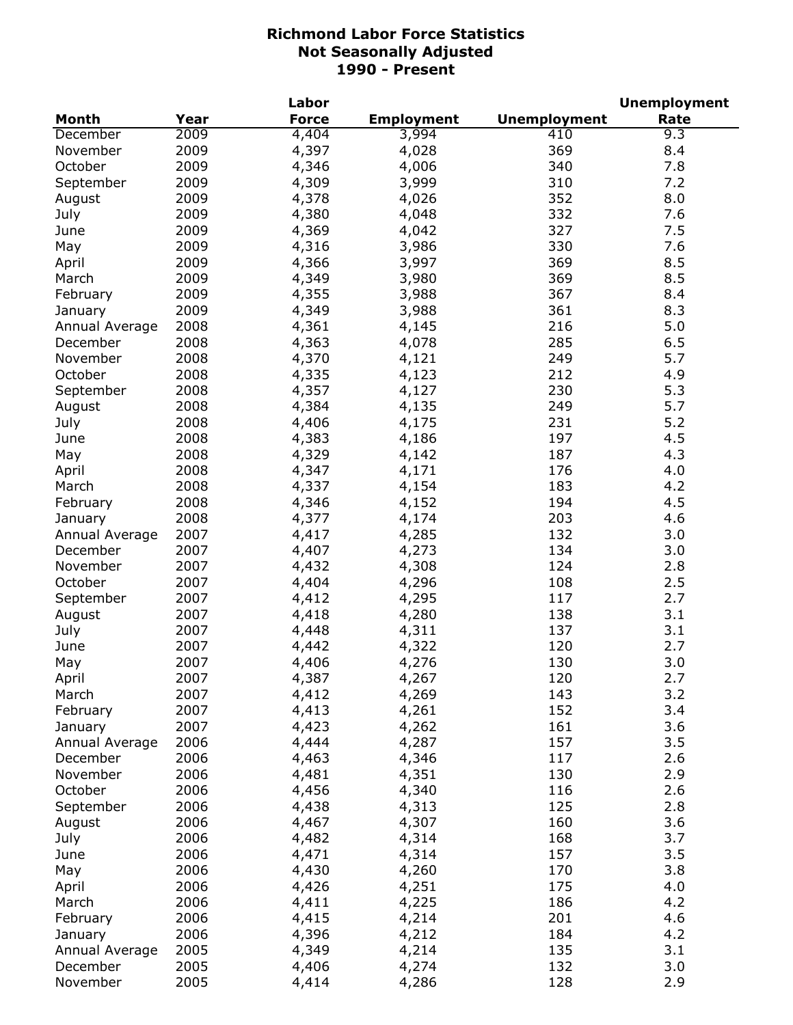|                |      | Labor        |                   |                     | <b>Unemployment</b> |
|----------------|------|--------------|-------------------|---------------------|---------------------|
| <b>Month</b>   | Year | <b>Force</b> | <b>Employment</b> | <b>Unemployment</b> | Rate                |
| December       | 2009 | 4,404        | 3,994             | 410                 | 9.3                 |
| November       | 2009 | 4,397        | 4,028             | 369                 | 8.4                 |
| October        | 2009 | 4,346        | 4,006             | 340                 | 7.8                 |
| September      | 2009 | 4,309        | 3,999             | 310                 | 7.2                 |
| August         | 2009 | 4,378        | 4,026             | 352                 | 8.0                 |
| July           | 2009 | 4,380        | 4,048             | 332                 | 7.6                 |
| June           | 2009 | 4,369        | 4,042             | 327                 | 7.5                 |
| May            | 2009 | 4,316        | 3,986             | 330                 | 7.6                 |
| April          | 2009 | 4,366        | 3,997             | 369                 | 8.5                 |
| March          | 2009 | 4,349        | 3,980             | 369                 | 8.5                 |
| February       | 2009 | 4,355        | 3,988             | 367                 | 8.4                 |
| January        | 2009 | 4,349        | 3,988             | 361                 | 8.3                 |
| Annual Average | 2008 | 4,361        | 4,145             | 216                 | 5.0                 |
| December       | 2008 | 4,363        | 4,078             | 285                 | 6.5                 |
| November       | 2008 | 4,370        | 4,121             | 249                 | 5.7                 |
| October        | 2008 | 4,335        | 4,123             | 212                 | 4.9                 |
| September      | 2008 | 4,357        |                   | 230                 | 5.3                 |
|                |      |              | 4,127             | 249                 | 5.7                 |
| August         | 2008 | 4,384        | 4,135             |                     |                     |
| July           | 2008 | 4,406        | 4,175             | 231                 | 5.2                 |
| June           | 2008 | 4,383        | 4,186             | 197                 | 4.5                 |
| May            | 2008 | 4,329        | 4,142             | 187                 | 4.3                 |
| April          | 2008 | 4,347        | 4,171             | 176                 | 4.0                 |
| March          | 2008 | 4,337        | 4,154             | 183                 | 4.2                 |
| February       | 2008 | 4,346        | 4,152             | 194                 | 4.5                 |
| January        | 2008 | 4,377        | 4,174             | 203                 | 4.6                 |
| Annual Average | 2007 | 4,417        | 4,285             | 132                 | 3.0                 |
| December       | 2007 | 4,407        | 4,273             | 134                 | 3.0                 |
| November       | 2007 | 4,432        | 4,308             | 124                 | 2.8                 |
| October        | 2007 | 4,404        | 4,296             | 108                 | 2.5                 |
| September      | 2007 | 4,412        | 4,295             | 117                 | 2.7                 |
| August         | 2007 | 4,418        | 4,280             | 138                 | 3.1                 |
| July           | 2007 | 4,448        | 4,311             | 137                 | 3.1                 |
| June           | 2007 | 4,442        | 4,322             | 120                 | 2.7                 |
| May            | 2007 | 4,406        | 4,276             | 130                 | 3.0                 |
| April          | 2007 | 4,387        | 4,267             | 120                 | 2.7                 |
| March          | 2007 | 4,412        | 4,269             | 143                 | 3.2                 |
| February       | 2007 | 4,413        | 4,261             | 152                 | 3.4                 |
| January        | 2007 | 4,423        | 4,262             | 161                 | 3.6                 |
| Annual Average | 2006 | 4,444        | 4,287             | 157                 | 3.5                 |
| December       | 2006 | 4,463        | 4,346             | 117                 | 2.6                 |
| November       | 2006 | 4,481        | 4,351             | 130                 | 2.9                 |
| October        | 2006 | 4,456        | 4,340             | 116                 | 2.6                 |
| September      | 2006 | 4,438        | 4,313             | 125                 | 2.8                 |
| August         | 2006 | 4,467        | 4,307             | 160                 | 3.6                 |
| July           | 2006 | 4,482        | 4,314             | 168                 | 3.7                 |
| June           | 2006 | 4,471        | 4,314             | 157                 | 3.5                 |
| May            | 2006 | 4,430        | 4,260             | 170                 | 3.8                 |
| April          | 2006 | 4,426        | 4,251             | 175                 | 4.0                 |
| March          | 2006 | 4,411        | 4,225             | 186                 | 4.2                 |
| February       | 2006 | 4,415        | 4,214             | 201                 | 4.6                 |
| January        | 2006 | 4,396        | 4,212             | 184                 | 4.2                 |
|                | 2005 | 4,349        | 4,214             | 135                 | 3.1                 |
| Annual Average | 2005 |              |                   | 132                 | 3.0                 |
| December       |      | 4,406        | 4,274             |                     |                     |
| November       | 2005 | 4,414        | 4,286             | 128                 | 2.9                 |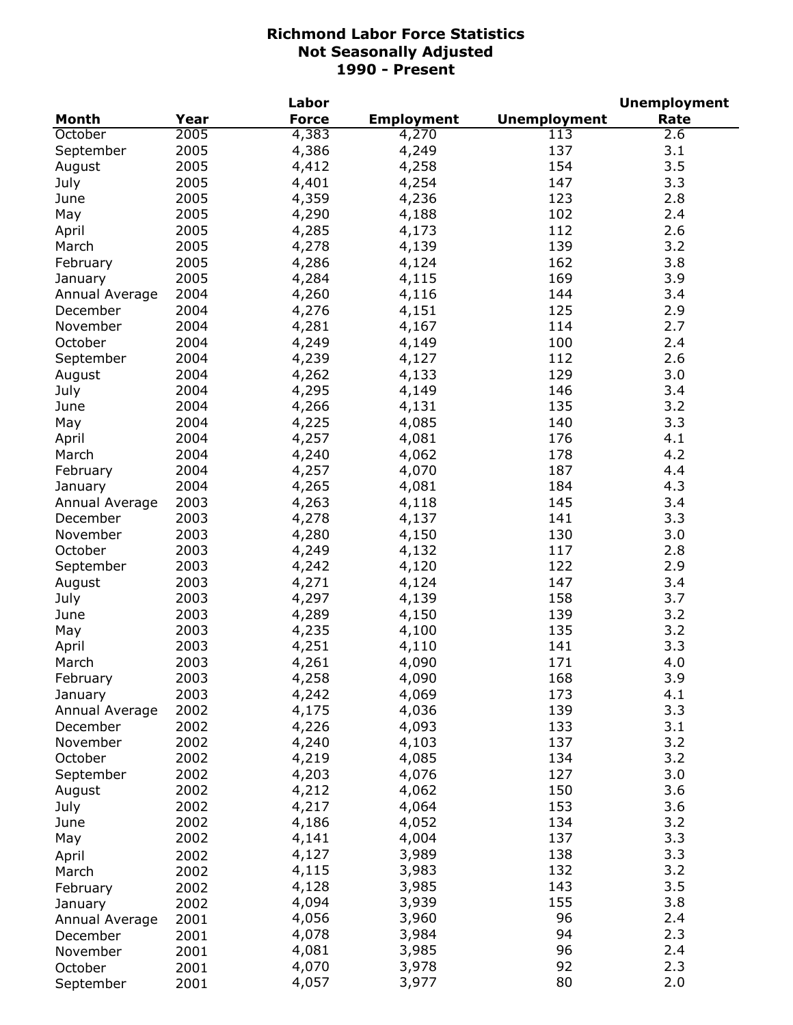|                |      | Labor        |                   |                     | <b>Unemployment</b> |
|----------------|------|--------------|-------------------|---------------------|---------------------|
| <b>Month</b>   | Year | <b>Force</b> | <b>Employment</b> | <b>Unemployment</b> | Rate                |
| October        | 2005 | 4,383        | 4,270             | 113                 | 2.6                 |
| September      | 2005 | 4,386        | 4,249             | 137                 | 3.1                 |
| August         | 2005 | 4,412        | 4,258             | 154                 | 3.5                 |
| July           | 2005 | 4,401        | 4,254             | 147                 | 3.3                 |
| June           | 2005 | 4,359        | 4,236             | 123                 | 2.8                 |
| May            | 2005 | 4,290        | 4,188             | 102                 | 2.4                 |
| April          | 2005 | 4,285        | 4,173             | 112                 | 2.6                 |
| March          | 2005 | 4,278        | 4,139             | 139                 | 3.2                 |
| February       | 2005 | 4,286        | 4,124             | 162                 | 3.8                 |
| January        | 2005 | 4,284        | 4,115             | 169                 | 3.9                 |
| Annual Average | 2004 | 4,260        | 4,116             | 144                 | 3.4                 |
| December       | 2004 | 4,276        | 4,151             | 125                 | 2.9                 |
| November       | 2004 | 4,281        | 4,167             | 114                 | 2.7                 |
| October        | 2004 | 4,249        | 4,149             | 100                 | 2.4                 |
| September      | 2004 | 4,239        |                   | 112                 | 2.6                 |
|                |      |              | 4,127             | 129                 | 3.0                 |
| August         | 2004 | 4,262        | 4,133             |                     |                     |
| July           | 2004 | 4,295        | 4,149             | 146                 | 3.4                 |
| June           | 2004 | 4,266        | 4,131             | 135                 | 3.2                 |
| May            | 2004 | 4,225        | 4,085             | 140                 | 3.3                 |
| April          | 2004 | 4,257        | 4,081             | 176                 | 4.1                 |
| March          | 2004 | 4,240        | 4,062             | 178                 | 4.2                 |
| February       | 2004 | 4,257        | 4,070             | 187                 | 4.4                 |
| January        | 2004 | 4,265        | 4,081             | 184                 | 4.3                 |
| Annual Average | 2003 | 4,263        | 4,118             | 145                 | 3.4                 |
| December       | 2003 | 4,278        | 4,137             | 141                 | 3.3                 |
| November       | 2003 | 4,280        | 4,150             | 130                 | 3.0                 |
| October        | 2003 | 4,249        | 4,132             | 117                 | 2.8                 |
| September      | 2003 | 4,242        | 4,120             | 122                 | 2.9                 |
| August         | 2003 | 4,271        | 4,124             | 147                 | 3.4                 |
| July           | 2003 | 4,297        | 4,139             | 158                 | 3.7                 |
| June           | 2003 | 4,289        | 4,150             | 139                 | 3.2                 |
| May            | 2003 | 4,235        | 4,100             | 135                 | 3.2                 |
| April          | 2003 | 4,251        | 4,110             | 141                 | 3.3                 |
| March          | 2003 | 4,261        | 4,090             | 171                 | 4.0                 |
| February       | 2003 | 4,258        | 4,090             | 168                 | 3.9                 |
| January        | 2003 | 4,242        | 4,069             | 173                 | 4.1                 |
| Annual Average | 2002 | 4,175        | 4,036             | 139                 | 3.3                 |
| December       | 2002 | 4,226        | 4,093             | 133                 | 3.1                 |
| November       | 2002 | 4,240        | 4,103             | 137                 | 3.2                 |
| October        | 2002 | 4,219        | 4,085             | 134                 | 3.2                 |
| September      | 2002 | 4,203        | 4,076             | 127                 | 3.0                 |
| August         | 2002 | 4,212        | 4,062             | 150                 | 3.6                 |
| July           | 2002 | 4,217        | 4,064             | 153                 | 3.6                 |
| June           | 2002 | 4,186        | 4,052             | 134                 | 3.2                 |
| May            | 2002 | 4,141        | 4,004             | 137                 | 3.3                 |
|                |      | 4,127        | 3,989             | 138                 | 3.3                 |
| April          | 2002 |              |                   | 132                 | 3.2                 |
| March          | 2002 | 4,115        | 3,983             |                     |                     |
| February       | 2002 | 4,128        | 3,985             | 143                 | 3.5                 |
| January        | 2002 | 4,094        | 3,939             | 155                 | 3.8                 |
| Annual Average | 2001 | 4,056        | 3,960             | 96                  | 2.4                 |
| December       | 2001 | 4,078        | 3,984             | 94                  | 2.3                 |
| November       | 2001 | 4,081        | 3,985             | 96                  | 2.4                 |
| October        | 2001 | 4,070        | 3,978             | 92                  | 2.3                 |
| September      | 2001 | 4,057        | 3,977             | 80                  | 2.0                 |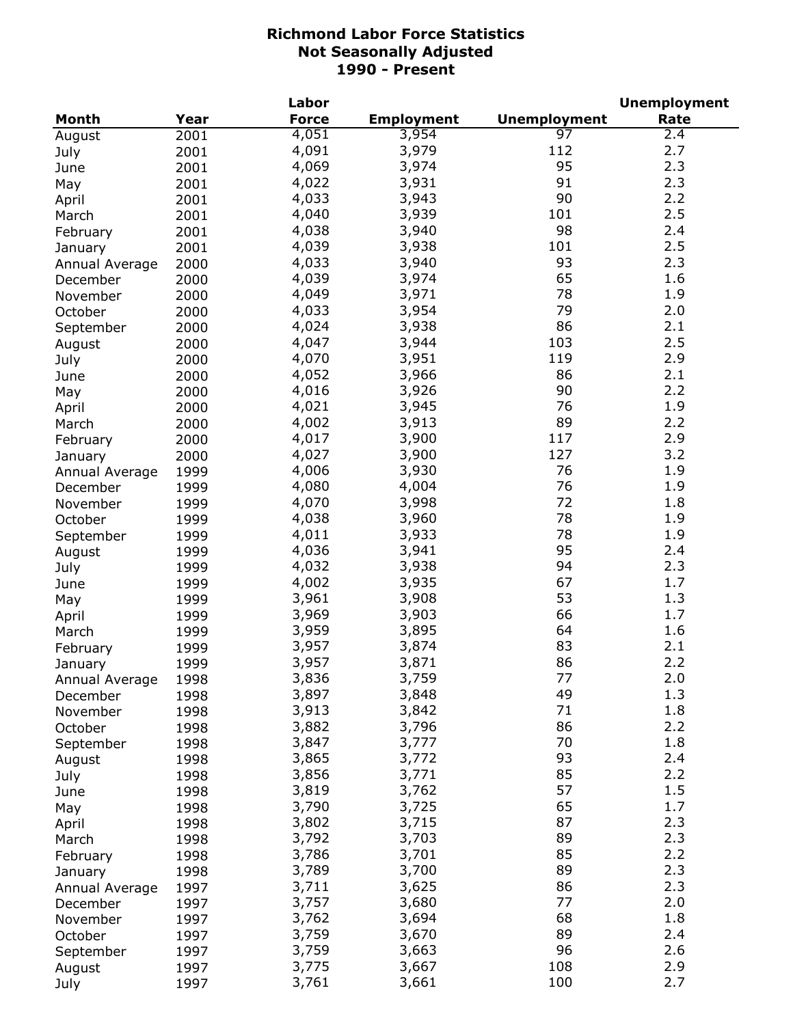|                |      | Labor        |                   |                     | <b>Unemployment</b> |
|----------------|------|--------------|-------------------|---------------------|---------------------|
| <b>Month</b>   | Year | <b>Force</b> | <b>Employment</b> | <b>Unemployment</b> | Rate                |
| August         | 2001 | 4,051        | 3,954             | $\overline{97}$     | $2.\bar{4}$         |
| July           | 2001 | 4,091        | 3,979             | 112                 | 2.7                 |
| June           | 2001 | 4,069        | 3,974             | 95                  | 2.3                 |
| May            | 2001 | 4,022        | 3,931             | 91                  | 2.3                 |
| April          | 2001 | 4,033        | 3,943             | 90                  | 2.2                 |
| March          | 2001 | 4,040        | 3,939             | 101                 | 2.5                 |
| February       | 2001 | 4,038        | 3,940             | 98                  | 2.4                 |
| January        | 2001 | 4,039        | 3,938             | 101                 | 2.5                 |
| Annual Average | 2000 | 4,033        | 3,940             | 93                  | 2.3                 |
| December       | 2000 | 4,039        | 3,974             | 65                  | 1.6                 |
| November       | 2000 | 4,049        | 3,971             | 78                  | 1.9                 |
| October        | 2000 | 4,033        | 3,954             | 79                  | 2.0                 |
| September      | 2000 | 4,024        | 3,938             | 86                  | 2.1                 |
| August         | 2000 | 4,047        | 3,944             | 103                 | 2.5                 |
| July           | 2000 | 4,070        | 3,951             | 119                 | 2.9                 |
| June           | 2000 | 4,052        | 3,966             | 86                  | 2.1                 |
|                | 2000 | 4,016        | 3,926             | 90                  | 2.2                 |
| May            |      | 4,021        | 3,945             | 76                  | 1.9                 |
| April          | 2000 | 4,002        | 3,913             | 89                  | 2.2                 |
| March          | 2000 |              |                   | 117                 | 2.9                 |
| February       | 2000 | 4,017        | 3,900             | 127                 | 3.2                 |
| January        | 2000 | 4,027        | 3,900             |                     |                     |
| Annual Average | 1999 | 4,006        | 3,930             | 76                  | 1.9                 |
| December       | 1999 | 4,080        | 4,004             | 76                  | 1.9                 |
| November       | 1999 | 4,070        | 3,998             | 72                  | 1.8                 |
| October        | 1999 | 4,038        | 3,960             | 78                  | 1.9                 |
| September      | 1999 | 4,011        | 3,933             | 78                  | 1.9                 |
| August         | 1999 | 4,036        | 3,941             | 95                  | 2.4                 |
| July           | 1999 | 4,032        | 3,938             | 94                  | 2.3                 |
| June           | 1999 | 4,002        | 3,935             | 67                  | 1.7                 |
| May            | 1999 | 3,961        | 3,908             | 53                  | 1.3                 |
| April          | 1999 | 3,969        | 3,903             | 66                  | 1.7                 |
| March          | 1999 | 3,959        | 3,895             | 64                  | 1.6                 |
| February       | 1999 | 3,957        | 3,874             | 83                  | 2.1                 |
| January        | 1999 | 3,957        | 3,871             | 86                  | 2.2                 |
| Annual Average | 1998 | 3,836        | 3,759             | 77                  | 2.0                 |
| December       | 1998 | 3,897        | 3,848             | 49                  | 1.3                 |
| November       | 1998 | 3,913        | 3,842             | 71                  | 1.8                 |
| October        | 1998 | 3,882        | 3,796             | 86                  | 2.2                 |
| September      | 1998 | 3,847        | 3,777             | 70                  | 1.8                 |
| August         | 1998 | 3,865        | 3,772             | 93                  | 2.4                 |
| July           | 1998 | 3,856        | 3,771             | 85                  | 2.2                 |
| June           | 1998 | 3,819        | 3,762             | 57                  | 1.5                 |
| May            | 1998 | 3,790        | 3,725             | 65                  | 1.7                 |
| April          | 1998 | 3,802        | 3,715             | 87                  | 2.3                 |
| March          | 1998 | 3,792        | 3,703             | 89                  | 2.3                 |
| February       | 1998 | 3,786        | 3,701             | 85                  | 2.2                 |
| January        | 1998 | 3,789        | 3,700             | 89                  | 2.3                 |
| Annual Average | 1997 | 3,711        | 3,625             | 86                  | 2.3                 |
| December       | 1997 | 3,757        | 3,680             | 77                  | 2.0                 |
| November       | 1997 | 3,762        | 3,694             | 68                  | 1.8                 |
| October        | 1997 | 3,759        | 3,670             | 89                  | 2.4                 |
| September      | 1997 | 3,759        | 3,663             | 96                  | 2.6                 |
| August         | 1997 | 3,775        | 3,667             | 108                 | 2.9                 |
| July           | 1997 | 3,761        | 3,661             | 100                 | 2.7                 |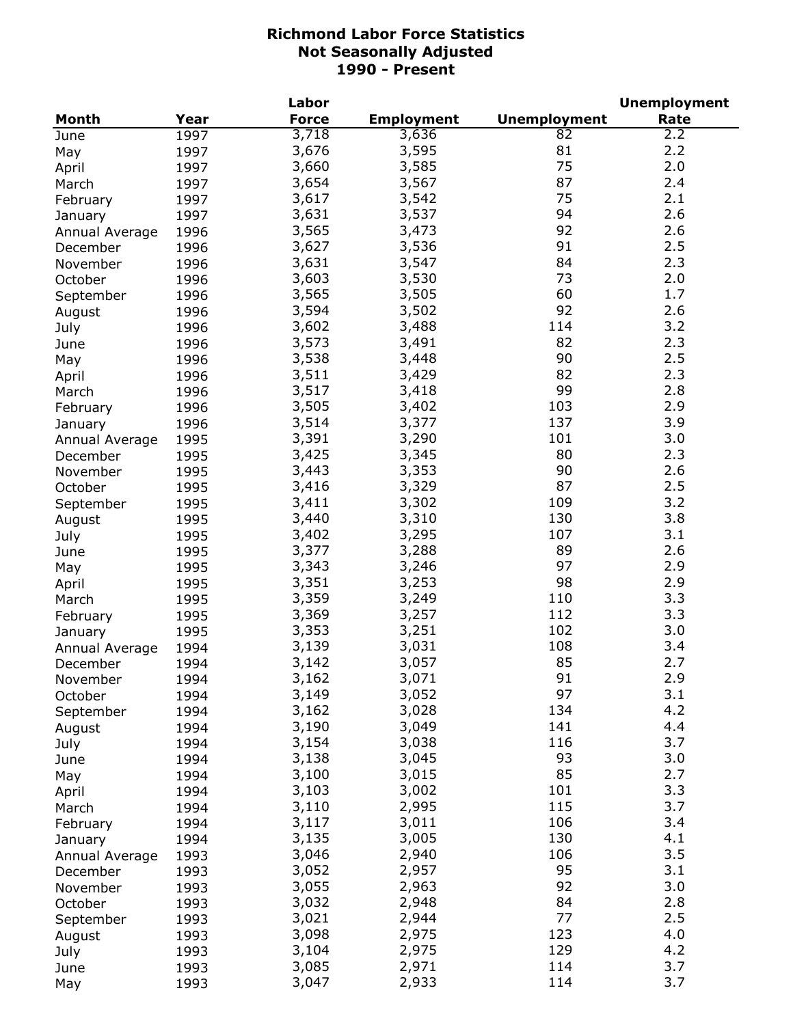|                |      | Labor        |                   | <b>Unemployment</b> |      |  |
|----------------|------|--------------|-------------------|---------------------|------|--|
| <b>Month</b>   | Year | <b>Force</b> | <b>Employment</b> | <b>Unemployment</b> | Rate |  |
| June           | 1997 | 3,718        | 3,636             | 82                  | 2.2  |  |
| May            | 1997 | 3,676        | 3,595             | 81                  | 2.2  |  |
| April          | 1997 | 3,660        | 3,585             | 75                  | 2.0  |  |
| March          | 1997 | 3,654        | 3,567             | 87                  | 2.4  |  |
| February       | 1997 | 3,617        | 3,542             | 75                  | 2.1  |  |
| January        | 1997 | 3,631        | 3,537             | 94                  | 2.6  |  |
| Annual Average | 1996 | 3,565        | 3,473             | 92                  | 2.6  |  |
| December       | 1996 | 3,627        | 3,536             | 91                  | 2.5  |  |
|                | 1996 | 3,631        | 3,547             | 84                  | 2.3  |  |
| November       |      | 3,603        | 3,530             | 73                  | 2.0  |  |
| October        | 1996 | 3,565        |                   | 60                  | 1.7  |  |
| September      | 1996 |              | 3,505             | 92                  |      |  |
| August         | 1996 | 3,594        | 3,502             |                     | 2.6  |  |
| July           | 1996 | 3,602        | 3,488             | 114                 | 3.2  |  |
| June           | 1996 | 3,573        | 3,491             | 82                  | 2.3  |  |
| May            | 1996 | 3,538        | 3,448             | 90                  | 2.5  |  |
| April          | 1996 | 3,511        | 3,429             | 82                  | 2.3  |  |
| March          | 1996 | 3,517        | 3,418             | 99                  | 2.8  |  |
| February       | 1996 | 3,505        | 3,402             | 103                 | 2.9  |  |
| January        | 1996 | 3,514        | 3,377             | 137                 | 3.9  |  |
| Annual Average | 1995 | 3,391        | 3,290             | 101                 | 3.0  |  |
| December       | 1995 | 3,425        | 3,345             | 80                  | 2.3  |  |
| November       | 1995 | 3,443        | 3,353             | 90                  | 2.6  |  |
| October        | 1995 | 3,416        | 3,329             | 87                  | 2.5  |  |
| September      | 1995 | 3,411        | 3,302             | 109                 | 3.2  |  |
| August         | 1995 | 3,440        | 3,310             | 130                 | 3.8  |  |
| July           | 1995 | 3,402        | 3,295             | 107                 | 3.1  |  |
| June           | 1995 | 3,377        | 3,288             | 89                  | 2.6  |  |
| May            | 1995 | 3,343        | 3,246             | 97                  | 2.9  |  |
| April          | 1995 | 3,351        | 3,253             | 98                  | 2.9  |  |
| March          | 1995 | 3,359        | 3,249             | 110                 | 3.3  |  |
| February       | 1995 | 3,369        | 3,257             | 112                 | 3.3  |  |
|                | 1995 | 3,353        | 3,251             | 102                 | 3.0  |  |
| January        |      | 3,139        | 3,031             | 108                 | 3.4  |  |
| Annual Average | 1994 |              | 3,057             | 85                  | 2.7  |  |
| December       | 1994 | 3,142        |                   |                     |      |  |
| November       | 1994 | 3,162        | 3,071             | 91                  | 2.9  |  |
| October        | 1994 | 3,149        | 3,052             | 97                  | 3.1  |  |
| September      | 1994 | 3,162        | 3,028             | 134                 | 4.2  |  |
| August         | 1994 | 3,190        | 3,049             | 141                 | 4.4  |  |
| July           | 1994 | 3,154        | 3,038             | 116                 | 3.7  |  |
| June           | 1994 | 3,138        | 3,045             | 93                  | 3.0  |  |
| May            | 1994 | 3,100        | 3,015             | 85                  | 2.7  |  |
| April          | 1994 | 3,103        | 3,002             | 101                 | 3.3  |  |
| March          | 1994 | 3,110        | 2,995             | 115                 | 3.7  |  |
| February       | 1994 | 3,117        | 3,011             | 106                 | 3.4  |  |
| January        | 1994 | 3,135        | 3,005             | 130                 | 4.1  |  |
| Annual Average | 1993 | 3,046        | 2,940             | 106                 | 3.5  |  |
| December       | 1993 | 3,052        | 2,957             | 95                  | 3.1  |  |
| November       | 1993 | 3,055        | 2,963             | 92                  | 3.0  |  |
| October        | 1993 | 3,032        | 2,948             | 84                  | 2.8  |  |
| September      | 1993 | 3,021        | 2,944             | 77                  | 2.5  |  |
| August         | 1993 | 3,098        | 2,975             | 123                 | 4.0  |  |
| July           | 1993 | 3,104        | 2,975             | 129                 | 4.2  |  |
| June           | 1993 | 3,085        | 2,971             | 114                 | 3.7  |  |
| May            | 1993 | 3,047        | 2,933             | 114                 | 3.7  |  |